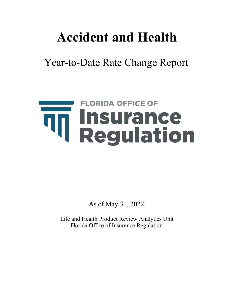## **Accident and Health**

## Year-to-Date Rate Change Report

# **FLORIDA OFFICE OF THE INSURANCE OF**<br> **THE INSURANCE**

As of May 31, 2022

Life and Health Product Review Analytics Unit Florida Office of Insurance Regulation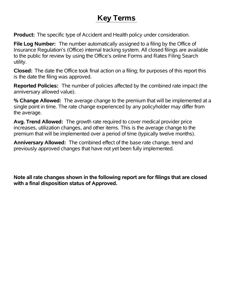### **Key Terms**

**Product:** The specific type of Accident and Health policy under consideration.

**File Log Number:** The number automatically assigned to a filing by the Office of Insurance Regulation's (Office) internal tracking system. All closed filings are available to the public for review by using the Office's online Forms and Rates Filing Search utility.

**Closed:** The date the Office took final action on a filing; for purposes of this report this is the date the filing was approved.

**Reported Policies:** The number of policies affected by the combined rate impact (the anniversary allowed value).

**% Change Allowed:** The average change to the premium that will be implemented at a single point in time. The rate change experienced by any policyholder may differ from the average.

**Avg. Trend Allowed:** The growth rate required to cover medical provider price increases, utilization changes, and other items. This is the average change to the premium that will be implemented over a period of time (typically twelve months).

**Anniversary Allowed:** The combined effect of the base rate change, trend and previously approved changes that have not yet been fully implemented.

**Note all rate changes shown in the following report are for filings that are closed with a final disposition status of Approved.**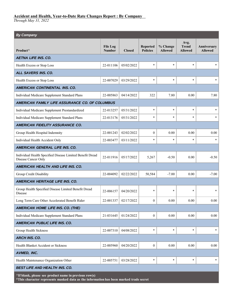| <b>By Company</b>                                                                                                                                          |                                  |               |                                    |                            |                                        |                               |
|------------------------------------------------------------------------------------------------------------------------------------------------------------|----------------------------------|---------------|------------------------------------|----------------------------|----------------------------------------|-------------------------------|
| Product <sup>^</sup>                                                                                                                                       | <b>File Log</b><br><b>Number</b> | <b>Closed</b> | <b>Reported</b><br><b>Policies</b> | % Change<br><b>Allowed</b> | Avg.<br><b>Trend</b><br><b>Allowed</b> | Anniversary<br><b>Allowed</b> |
| <b>AETNA LIFE INS. CO.</b>                                                                                                                                 |                                  |               |                                    |                            |                                        |                               |
| Health Excess or Stop Loss                                                                                                                                 | 22-011106                        | 05/02/2022    | $\ast$                             | $\ast$                     | $\ast$                                 | $\ast$                        |
| <b>ALL SAVERS INS. CO.</b>                                                                                                                                 |                                  |               |                                    |                            |                                        |                               |
| Health Excess or Stop Loss                                                                                                                                 | 22-007029                        | 03/29/2022    | $\ast$                             | $\ast$                     | $\ast$                                 | $\ast$                        |
| AMERICAN CONTINENTAL INS. CO.                                                                                                                              |                                  |               |                                    |                            |                                        |                               |
| Individual Medicare Supplement Standard Plans                                                                                                              | 22-005863                        | 04/14/2022    | 322                                | 7.80                       | 0.00                                   | 7.80                          |
| AMERICAN FAMILY LIFE ASSURANCE CO. OF COLUMBUS                                                                                                             |                                  |               |                                    |                            |                                        |                               |
| Individual Medicare Supplement Prestandardized                                                                                                             | 22-013257                        | 05/31/2022    | $\ast$                             | $\ast$                     | $\ast$                                 | $\ast$                        |
| Individual Medicare Supplement Standard Plans                                                                                                              | 22-013176                        | 05/31/2022    | $\ast$                             | $\ast$                     | $\ast$                                 | $\ast$                        |
| AMERICAN FIDELITY ASSURANCE CO.                                                                                                                            |                                  |               |                                    |                            |                                        |                               |
| Group Health Hospital Indemnity                                                                                                                            | 22-001243                        | 02/02/2022    | $\boldsymbol{0}$                   | 0.00                       | 0.00                                   | 0.00                          |
| Individual Health Accident Only                                                                                                                            | 22-003477                        | 03/11/2022    | $\ast$                             | $\ast$                     | $\ast$                                 | $\ast$                        |
| AMERICAN GENERAL LIFE INS. CO.                                                                                                                             |                                  |               |                                    |                            |                                        |                               |
| Individual Health Specified Disease Limited Benefit Dread<br>Disease Cancer Only                                                                           | 22-011916                        | 05/17/2022    | 5,267                              | $-0.50$                    | 0.00                                   | $-0.50$                       |
| AMERICAN HEALTH AND LIFE INS. CO.                                                                                                                          |                                  |               |                                    |                            |                                        |                               |
| Group Credit Disability                                                                                                                                    | 22-004092                        | 02/22/2022    | 50,584                             | $-7.00$                    | 0.00                                   | $-7.00$                       |
| <b>AMERICAN HERITAGE LIFE INS. CO.</b>                                                                                                                     |                                  |               |                                    |                            |                                        |                               |
| Group Health Specified Disease Limited Benefit Dread<br>Disease                                                                                            | 22-006157                        | 04/20/2022    | $\ast$                             | $\ast$                     | $\ast$                                 | $\ast$                        |
| Long Term Care Other Accelerated Benefit Rider                                                                                                             | 22-001337                        | 02/17/2022    | $\boldsymbol{0}$                   | $0.00\,$                   | $0.00\,$                               | $0.00\,$                      |
| AMERICAN HOME LIFE INS. CO. (THE)                                                                                                                          |                                  |               |                                    |                            |                                        |                               |
| Individual Medicare Supplement Standard Plans                                                                                                              | 21-031645                        | 01/24/2022    | $\boldsymbol{0}$                   | 0.00                       | $0.00\,$                               | $0.00\,$                      |
| AMERICAN PUBLIC LIFE INS. CO.                                                                                                                              |                                  |               |                                    |                            |                                        |                               |
| Group Health Sickness                                                                                                                                      | 22-007310                        | 04/08/2022    | $\ast$                             | $\ast$                     | $\ast$                                 | $\ast$                        |
| <b>ARCH INS. CO.</b>                                                                                                                                       |                                  |               |                                    |                            |                                        |                               |
| Health Blanket Accident or Sickness                                                                                                                        | 22-005960                        | 04/20/2022    | $\boldsymbol{0}$                   | 0.00                       | 0.00                                   | 0.00                          |
| AVMED, INC.                                                                                                                                                |                                  |               |                                    |                            |                                        |                               |
| Health Maintenance Organization Other                                                                                                                      | 22-005751                        | 03/28/2022    | $\ast$                             | $\ast$                     | $\ast$                                 | $\ast$                        |
| <b>BEST LIFE AND HEALTH INS. CO.</b>                                                                                                                       |                                  |               |                                    |                            |                                        |                               |
| $\triangle$ If blank, please see product name in previous row(s)<br>*This character represents masked data as the information has been marked trade secret |                                  |               |                                    |                            |                                        |                               |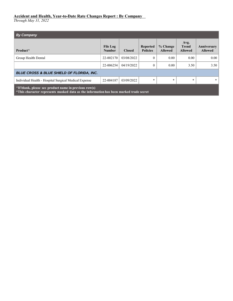| <b>By Company</b>                                                                                                                                       |                                  |               |                                    |                            |                                        |                               |  |  |
|---------------------------------------------------------------------------------------------------------------------------------------------------------|----------------------------------|---------------|------------------------------------|----------------------------|----------------------------------------|-------------------------------|--|--|
| Product <sup>^</sup>                                                                                                                                    | <b>File Log</b><br><b>Number</b> | <b>Closed</b> | <b>Reported</b><br><b>Policies</b> | % Change<br><b>Allowed</b> | Avg.<br><b>Trend</b><br><b>Allowed</b> | Anniversary<br><b>Allowed</b> |  |  |
| Group Health Dental                                                                                                                                     | 22-002170                        | 03/08/2022    | $\theta$                           | 0.00                       | 0.00                                   | 0.00                          |  |  |
|                                                                                                                                                         | 22-006254                        | 04/19/2022    | $\Omega$                           | 0.00                       | 3.50                                   | 3.50                          |  |  |
| <b>BLUE CROSS &amp; BLUE SHIELD OF FLORIDA, INC.</b>                                                                                                    |                                  |               |                                    |                            |                                        |                               |  |  |
| Individual Health - Hospital Surgical Medical Expense                                                                                                   | 22-004187                        | 03/09/2022    | $\ast$                             | $\ast$                     | $\ast$                                 | $\ast$                        |  |  |
| $\Delta$ If blank, please see product name in previous row(s)<br>*This character represents masked data as the information has been marked trade secret |                                  |               |                                    |                            |                                        |                               |  |  |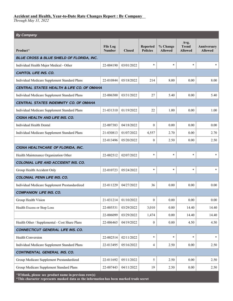*Through May 31, 2022*

| <b>By Company</b>                                                |                                  |               |                                    |                            |                                        |                               |  |  |  |
|------------------------------------------------------------------|----------------------------------|---------------|------------------------------------|----------------------------|----------------------------------------|-------------------------------|--|--|--|
| Product <sup>^</sup>                                             | <b>File Log</b><br><b>Number</b> | <b>Closed</b> | <b>Reported</b><br><b>Policies</b> | % Change<br><b>Allowed</b> | Avg.<br><b>Trend</b><br><b>Allowed</b> | Anniversary<br><b>Allowed</b> |  |  |  |
| BLUE CROSS & BLUE SHIELD OF FLORIDA, INC.                        |                                  |               |                                    |                            |                                        |                               |  |  |  |
| Individual Health Major Medical - Other                          | 22-004190                        | 03/01/2022    | $\ast$                             | $\star$                    | $\star$                                | $\ast$                        |  |  |  |
| <b>CAPITOL LIFE INS. CO.</b>                                     |                                  |               |                                    |                            |                                        |                               |  |  |  |
| Individual Medicare Supplement Standard Plans                    | 22-010844                        | 05/18/2022    | 214                                | 8.00                       | 0.00                                   | 8.00                          |  |  |  |
| <b>CENTRAL STATES HEALTH &amp; LIFE CO. OF OMAHA</b>             |                                  |               |                                    |                            |                                        |                               |  |  |  |
| Individual Medicare Supplement Standard Plans                    | 22-006500                        | 03/31/2022    | 27                                 | 5.40                       | 0.00                                   | 5.40                          |  |  |  |
| CENTRAL STATES INDEMNITY CO. OF OMAHA                            |                                  |               |                                    |                            |                                        |                               |  |  |  |
| Individual Medicare Supplement Standard Plans                    | 21-031310                        | 01/19/2022    | 22                                 | 1.00                       | 0.00                                   | 1.00                          |  |  |  |
| CIGNA HEALTH AND LIFE INS. CO.                                   |                                  |               |                                    |                            |                                        |                               |  |  |  |
| <b>Individual Health Dental</b>                                  | 22-007383                        | 04/18/2022    | $\overline{0}$                     | 0.00                       | 0.00                                   | 0.00                          |  |  |  |
| Individual Medicare Supplement Standard Plans                    | 21-030813                        | 01/07/2022    | 4,557                              | 2.70                       | 0.00                                   | 2.70                          |  |  |  |
|                                                                  | 22-013496                        | 05/20/2022    | $\boldsymbol{0}$                   | 2.50                       | 0.00                                   | 2.50                          |  |  |  |
| CIGNA HEALTHCARE OF FLORIDA, INC.                                |                                  |               |                                    |                            |                                        |                               |  |  |  |
| Health Maintenance Organization Other                            | 22-002512                        | 02/07/2022    | $\ast$                             | $\ast$                     | $\ast$                                 | $\ast$                        |  |  |  |
| <b>COLONIAL LIFE AND ACCIDENT INS. CO.</b>                       |                                  |               |                                    |                            |                                        |                               |  |  |  |
| Group Health Accident Only                                       | 22-010723                        | 05/24/2022    | $\ast$                             | $\ast$                     | $\star$                                | $\ast$                        |  |  |  |
| <b>COLONIAL PENN LIFE INS. CO.</b>                               |                                  |               |                                    |                            |                                        |                               |  |  |  |
| Individual Medicare Supplement Prestandardized                   | 22-011229                        | 04/27/2022    | 36                                 | 0.00                       | 0.00                                   | 0.00                          |  |  |  |
| <b>COMPANION LIFE INS. CO.</b>                                   |                                  |               |                                    |                            |                                        |                               |  |  |  |
| Group Health Vision                                              | $21 - 031214$                    | 01/10/2022    | $\boldsymbol{0}$                   | 0.00                       | 0.00                                   | $0.00\,$                      |  |  |  |
| Health Excess or Stop Loss                                       | 22-005531                        | 03/29/2022    | 3,010                              | 0.00                       | 14.40                                  | 14.40                         |  |  |  |
|                                                                  | 22-006099                        | 03/29/2022    | 1,474                              | 0.00                       | 14.40                                  | 14.40                         |  |  |  |
| Health Other / Supplemental - Cost Share Plans                   | 22-006465                        | 04/19/2022    | $\boldsymbol{0}$                   | 0.00                       | 4.50                                   | 4.50                          |  |  |  |
| CONNECTICUT GENERAL LIFE INS. CO.                                |                                  |               |                                    |                            |                                        |                               |  |  |  |
| Health Conversion                                                | 22-002514                        | 02/11/2022    | $\ast$                             | $\ast$                     | $\ast$                                 | $\ast$                        |  |  |  |
| Individual Medicare Supplement Standard Plans                    | 22-013495                        | 05/16/2022    | $\overline{4}$                     | 2.50                       | $0.00\,$                               | 2.50                          |  |  |  |
| CONTINENTAL GENERAL INS. CO.                                     |                                  |               |                                    |                            |                                        |                               |  |  |  |
| Group Medicare Supplement Prestandardized                        | 22-011692                        | 05/11/2022    | 5                                  | 2.50                       | $0.00\,$                               | 2.50                          |  |  |  |
| Group Medicare Supplement Standard Plans                         | 22-007443                        | 04/11/2022    | 19                                 | 2.50                       | 0.00                                   | 2.50                          |  |  |  |
| $\triangle$ If blank, please see product name in previous row(s) |                                  |               |                                    |                            |                                        |                               |  |  |  |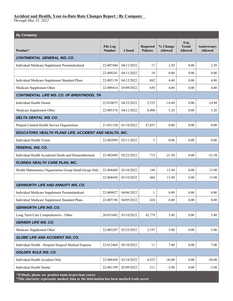*Through May 31, 2022*

| <b>By Company</b>                                                 |                                  |               |                                    |                            |                                        |                               |  |  |  |
|-------------------------------------------------------------------|----------------------------------|---------------|------------------------------------|----------------------------|----------------------------------------|-------------------------------|--|--|--|
| Product <sup>^</sup>                                              | <b>File Log</b><br><b>Number</b> | <b>Closed</b> | <b>Reported</b><br><b>Policies</b> | % Change<br><b>Allowed</b> | Avg.<br><b>Trend</b><br><b>Allowed</b> | Anniversary<br><b>Allowed</b> |  |  |  |
| <b>CONTINENTAL GENERAL INS. CO.</b>                               |                                  |               |                                    |                            |                                        |                               |  |  |  |
| Individual Medicare Supplement Prestandardized                    | 22-007444                        | 04/11/2022    | 17                                 | 2.50                       | 0.00                                   | 2.50                          |  |  |  |
|                                                                   | 22-009241                        | 04/11/2022    | 18                                 | 0.00                       | 0.00                                   | 0.00                          |  |  |  |
| Individual Medicare Supplement Standard Plans                     | 22-005139                        | 04/12/2022    | 882                                | 4.00                       | 0.00                                   | 4.00                          |  |  |  |
| Medicare Supplement Other                                         | 22-009414                        | 05/09/2022    | 650                                | 4.00                       | 0.00                                   | 4.00                          |  |  |  |
| CONTINENTAL LIFE INS. CO. OF BRENTWOOD, TN                        |                                  |               |                                    |                            |                                        |                               |  |  |  |
| <b>Individual Health Dental</b>                                   | 22-010075                        | 04/22/2022    | 2,535                              | $-14.80$                   | 0.00                                   | $-14.80$                      |  |  |  |
| Medicare Supplement Other                                         | 22-005376                        | 04/11/2022    | 8,408                              | 5.20                       | 0.00                                   | 5.20                          |  |  |  |
| <b>DELTA DENTAL INS. CO.</b>                                      |                                  |               |                                    |                            |                                        |                               |  |  |  |
| Prepaid Limited Health Service Organization                       | 21-031150                        | 01/18/2022    | 47,851                             | 0.00                       | 0.00                                   | 0.00                          |  |  |  |
| EDUCATORS HEALTH PLANS LIFE, ACCIDENT AND HEALTH, INC.            |                                  |               |                                    |                            |                                        |                               |  |  |  |
| Individual Health Vision                                          | 22-002099                        | 02/11/2022    | 3                                  | 0.00                       | 0.00                                   | 0.00                          |  |  |  |
| <b>FEDERAL INS. CO.</b>                                           |                                  |               |                                    |                            |                                        |                               |  |  |  |
| Individual Health Accidental Death and Dismemberment              | 22-002889                        | 02/23/2022    | 715                                | $-21.50$                   | 0.00                                   | $-21.50$                      |  |  |  |
| FLORIDA HEALTH CARE PLAN, INC.                                    |                                  |               |                                    |                            |                                        |                               |  |  |  |
| Health Maintenance Organization Group Small Group Only            | 22-004449                        | 03/10/2022    | 196                                | 13.90                      | 0.00                                   | 13.90                         |  |  |  |
|                                                                   | 22-004450                        | 03/10/2022    | 484                                | 13.90                      | 0.00                                   | 13.90                         |  |  |  |
| <b>GENWORTH LIFE AND ANNUITY INS. CO.</b>                         |                                  |               |                                    |                            |                                        |                               |  |  |  |
| Individual Medicare Supplement Prestandardized                    | 22-009027                        | 04/06/2022    | 1                                  | 0.00                       | 0.00                                   | 0.00                          |  |  |  |
| Individual Medicare Supplement Standard Plans                     | 22-007196                        | 04/05/2022    | 424                                | $0.00\,$                   | $0.00\,$                               | 0.00                          |  |  |  |
| <b>GENWORTH LIFE INS. CO.</b>                                     |                                  |               |                                    |                            |                                        |                               |  |  |  |
| Long Term Care Comprehensive - Other                              | 20-031682                        | 03/10/2022    | 42,779                             | 5.40                       | 0.00                                   | 5.40                          |  |  |  |
| <b>GERBER LIFE INS. CO.</b>                                       |                                  |               |                                    |                            |                                        |                               |  |  |  |
| Medicare Supplement Other                                         | 22-003207                        | 02/25/2022    | 3,197                              | 5.00                       | 0.00                                   | 5.00                          |  |  |  |
| <b>GLOBE LIFE AND ACCIDENT INS. CO.</b>                           |                                  |               |                                    |                            |                                        |                               |  |  |  |
| Individual Health - Hospital Surgical Medical Expense             | 22-012469                        | 05/10/2022    | 11                                 | 7.00                       | $0.00\,$                               | 7.00                          |  |  |  |
| <b>GOLDEN RULE INS. CO.</b>                                       |                                  |               |                                    |                            |                                        |                               |  |  |  |
| Individual Health Accident Only                                   | 22-006450                        | 03/18/2022    | 4,935                              | $-30.00$                   | $0.00\,$                               | $-30.00$                      |  |  |  |
| <b>Individual Health Dental</b>                                   | 22-001199                        | 02/09/2022    | 311                                | $-3.90$                    | 0.00                                   | $-3.90$                       |  |  |  |
| <sup>^</sup> If blank, please see product name in previous row(s) |                                  |               |                                    |                            |                                        |                               |  |  |  |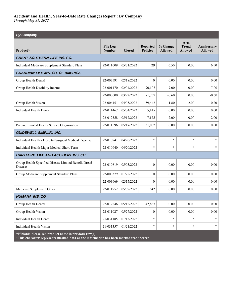*Through May 31, 2022*

| <b>By Company</b>                                                |                                  |               |                                    |                            |                                        |                               |
|------------------------------------------------------------------|----------------------------------|---------------|------------------------------------|----------------------------|----------------------------------------|-------------------------------|
| Product^                                                         | <b>File Log</b><br><b>Number</b> | <b>Closed</b> | <b>Reported</b><br><b>Policies</b> | % Change<br><b>Allowed</b> | Avg.<br><b>Trend</b><br><b>Allowed</b> | Anniversary<br><b>Allowed</b> |
| <b>GREAT SOUTHERN LIFE INS. CO.</b>                              |                                  |               |                                    |                            |                                        |                               |
| Individual Medicare Supplement Standard Plans                    | 22-011609                        | 05/31/2022    | 29                                 | 6.50                       | 0.00                                   | 6.50                          |
| <b>GUARDIAN LIFE INS. CO. OF AMERICA</b>                         |                                  |               |                                    |                            |                                        |                               |
| Group Health Dental                                              | 22-003591                        | 02/18/2022    | $\mathbf{0}$                       | 0.00                       | 0.00                                   | 0.00                          |
| Group Health Disability Income                                   | 22-001170                        | 02/04/2022    | 90,107                             | $-7.00$                    | 0.00                                   | $-7.00$                       |
|                                                                  | 22-003600                        | 03/22/2022    | 71,757                             | $-0.60$                    | 0.00                                   | $-0.60$                       |
| Group Health Vision                                              | 22-006451                        | 04/05/2022    | 59,442                             | $-1.80$                    | 2.00                                   | 0.20                          |
| <b>Individual Health Dental</b>                                  | 22-011467                        | 05/04/2022    | 5,415                              | 0.00                       | 0.00                                   | 0.00                          |
|                                                                  | 22-012358                        | 05/17/2022    | 7,175                              | 2.00                       | 0.00                                   | 2.00                          |
| Prepaid Limited Health Service Organization                      | 22-011596                        | 05/17/2022    | 31,002                             | 0.00                       | 0.00                                   | 0.00                          |
| <b>GUIDEWELL SIMPLIFI, INC.</b>                                  |                                  |               |                                    |                            |                                        |                               |
| Individual Health - Hospital Surgical Medical Expense            | 22-010941                        | 04/20/2022    | $\ast$                             | $\ast$                     | $\ast$                                 | $\ast$                        |
| Individual Health Major Medical Short Term                       | 22-010940                        | 04/20/2022    | $\ast$                             | $\ast$                     | $\ast$                                 | $\ast$                        |
| <b>HARTFORD LIFE AND ACCIDENT INS. CO.</b>                       |                                  |               |                                    |                            |                                        |                               |
| Group Health Specified Disease Limited Benefit Dread<br>Disease  | 22-010819                        | 05/03/2022    | $\mathbf{0}$                       | 0.00                       | 0.00                                   | 0.00                          |
| Group Medicare Supplement Standard Plans                         | 22-000379                        | 01/28/2022    | $\theta$                           | 0.00                       | 0.00                                   | 0.00                          |
|                                                                  | 22-003669                        | 02/15/2022    | $\theta$                           | 0.00                       | 0.00                                   | 0.00                          |
| Medicare Supplement Other                                        | 22-011952                        | 05/09/2022    | 542                                | 0.00                       | 0.00                                   | 0.00                          |
| <b>HUMANA INS. CO.</b>                                           |                                  |               |                                    |                            |                                        |                               |
| Group Health Dental                                              | 22-012246                        | 05/12/2022    | 42,887                             | $0.00\,$                   | $0.00\,$                               | 0.00                          |
| Group Health Vision                                              | 22-011027                        | 05/27/2022    | $\boldsymbol{0}$                   | 0.00                       | $0.00\,$                               | 0.00                          |
| Individual Health Dental                                         | 21-031185                        | 01/13/2022    | $\ast$                             | $\ast$                     | $\ast$                                 | $\ast$                        |
| Individual Health Vision                                         | 21-031357                        | 01/21/2022    | $\ast$                             | $\ast$                     | $\ast$                                 | $\ast$                        |
| $\triangle$ If blank, please see product name in previous row(s) |                                  |               |                                    |                            |                                        |                               |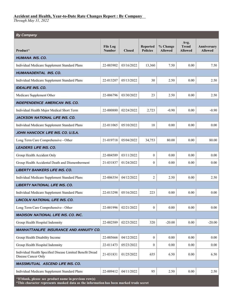*Through May 31, 2022*

| <b>By Company</b>                                                                |                                  |               |                                    |                            |                                        |                               |
|----------------------------------------------------------------------------------|----------------------------------|---------------|------------------------------------|----------------------------|----------------------------------------|-------------------------------|
| Product <sup>^</sup>                                                             | <b>File Log</b><br><b>Number</b> | <b>Closed</b> | <b>Reported</b><br><b>Policies</b> | % Change<br><b>Allowed</b> | Avg.<br><b>Trend</b><br><b>Allowed</b> | Anniversary<br><b>Allowed</b> |
| <b>HUMANA INS. CO.</b>                                                           |                                  |               |                                    |                            |                                        |                               |
| Individual Medicare Supplement Standard Plans                                    | 22-003902                        | 03/16/2022    | 13,360                             | 7.50                       | 0.00                                   | 7.50                          |
| HUMANADENTAL INS. CO.                                                            |                                  |               |                                    |                            |                                        |                               |
| Individual Medicare Supplement Standard Plans                                    | 22-013207                        | 05/13/2022    | 30                                 | 2.50                       | 0.00                                   | 2.50                          |
| <b>IDEALIFE INS. CO.</b>                                                         |                                  |               |                                    |                            |                                        |                               |
| Medicare Supplement Other                                                        | 22-006796                        | 03/30/2022    | 23                                 | 2.50                       | 0.00                                   | 2.50                          |
| <b>INDEPENDENCE AMERICAN INS. CO.</b>                                            |                                  |               |                                    |                            |                                        |                               |
| Individual Health Major Medical Short Term                                       | 22-000880                        | 02/24/2022    | 2,723                              | $-0.90$                    | 0.00                                   | $-0.90$                       |
| JACKSON NATIONAL LIFE INS. CO.                                                   |                                  |               |                                    |                            |                                        |                               |
| Individual Medicare Supplement Standard Plans                                    | 22-011065                        | 05/10/2022    | 18                                 | 0.00                       | 0.00                                   | 0.00                          |
| JOHN HANCOCK LIFE INS. CO. U.S.A.                                                |                                  |               |                                    |                            |                                        |                               |
| Long Term Care Comprehensive - Other                                             | 21-019718                        | 05/04/2022    | 34,753                             | 80.00                      | 0.00                                   | 80.00                         |
| <b>LEADERS LIFE INS. CO.</b>                                                     |                                  |               |                                    |                            |                                        |                               |
| Group Health Accident Only                                                       | 22-004589                        | 03/11/2022    | $\boldsymbol{0}$                   | 0.00                       | 0.00                                   | 0.00                          |
| Group Health Accidental Death and Dismemberment                                  | 21-031837                        | 01/24/2022    | $\boldsymbol{0}$                   | 0.00                       | 0.00                                   | 0.00                          |
| <b>LIBERTY BANKERS LIFE INS. CO.</b>                                             |                                  |               |                                    |                            |                                        |                               |
| Individual Medicare Supplement Standard Plans                                    | 22-006354                        | 04/12/2022    | $\overline{c}$                     | 2.50                       | 0.00                                   | 2.50                          |
| <b>LIBERTY NATIONAL LIFE INS. CO.</b>                                            |                                  |               |                                    |                            |                                        |                               |
| Individual Medicare Supplement Standard Plans                                    | 22-013298                        | 05/16/2022    | 223                                | 0.00                       | 0.00                                   | 0.00                          |
| LINCOLN NATIONAL LIFE INS. CO.                                                   |                                  |               |                                    |                            |                                        |                               |
| Long Term Care Comprehensive - Other                                             | 22-001996                        | 02/21/2022    | $\overline{0}$                     | 0.00                       | 0.00                                   | 0.00                          |
| <b>MADISON NATIONAL LIFE INS. CO. INC.</b>                                       |                                  |               |                                    |                            |                                        |                               |
| Group Health Hospital Indemnity                                                  | 22-002589                        | 02/23/2022    | 320                                | $-20.00$                   | $0.00\,$                               | $-20.00$                      |
| MANHATTANLIFE INSURANCE AND ANNUITY CO.                                          |                                  |               |                                    |                            |                                        |                               |
| Group Health Disability Income                                                   | 22-005666                        | 04/12/2022    | $\boldsymbol{0}$                   | 0.00                       | 0.00                                   | 0.00                          |
| Group Health Hospital Indemnity                                                  | 22-011473                        | 05/23/2022    | $\overline{0}$                     | 0.00                       | 0.00                                   | 0.00                          |
| Individual Health Specified Disease Limited Benefit Dread<br>Disease Cancer Only | 21-031831                        | 01/25/2022    | 655                                | 6.50                       | 0.00                                   | 6.50                          |
| MASSMUTUAL ASCEND LIFE INS. CO.                                                  |                                  |               |                                    |                            |                                        |                               |
| Individual Medicare Supplement Standard Plans                                    | 22-009412                        | 04/11/2022    | 95                                 | 2.50                       | 0.00                                   | 2.50                          |
| $\triangle$ If blank, please see product name in previous row(s)                 |                                  |               |                                    |                            |                                        |                               |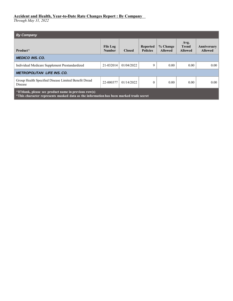| <b>By Company</b>                                                                                                                                        |                                  |               |                                    |                              |                                        |                               |  |  |
|----------------------------------------------------------------------------------------------------------------------------------------------------------|----------------------------------|---------------|------------------------------------|------------------------------|----------------------------------------|-------------------------------|--|--|
| Product <sup>^</sup>                                                                                                                                     | <b>File Log</b><br><b>Number</b> | <b>Closed</b> | <b>Reported</b><br><b>Policies</b> | $%$ Change<br><b>Allowed</b> | Avg.<br><b>Trend</b><br><b>Allowed</b> | Anniversary<br><b>Allowed</b> |  |  |
| <b>MEDICO INS. CO.</b>                                                                                                                                   |                                  |               |                                    |                              |                                        |                               |  |  |
| Individual Medicare Supplement Prestandardized                                                                                                           | 21-032014                        | 01/04/2022    | 9                                  | 0.00                         | 0.00                                   | 0.00                          |  |  |
| <b>METROPOLITAN LIFE INS. CO.</b>                                                                                                                        |                                  |               |                                    |                              |                                        |                               |  |  |
| Group Health Specified Disease Limited Benefit Dread<br><b>Disease</b>                                                                                   | 22-000377                        | 01/14/2022    | $\theta$                           | 0.00                         | 0.00                                   | 0.00                          |  |  |
| $\Lambda$ If blank, please see product name in previous row(s)<br>*This character represents masked data as the information has been marked trade secret |                                  |               |                                    |                              |                                        |                               |  |  |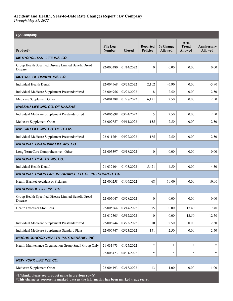| <b>By Company</b>                                                                                                                                          |                                  |               |                                    |                            |                                        |                               |
|------------------------------------------------------------------------------------------------------------------------------------------------------------|----------------------------------|---------------|------------------------------------|----------------------------|----------------------------------------|-------------------------------|
| Product^                                                                                                                                                   | <b>File Log</b><br><b>Number</b> | <b>Closed</b> | <b>Reported</b><br><b>Policies</b> | % Change<br><b>Allowed</b> | Avg.<br><b>Trend</b><br><b>Allowed</b> | Anniversary<br><b>Allowed</b> |
| <b>METROPOLITAN LIFE INS. CO.</b>                                                                                                                          |                                  |               |                                    |                            |                                        |                               |
| Group Health Specified Disease Limited Benefit Dread<br>Disease                                                                                            | 22-000380                        | 01/14/2022    | $\mathbf{0}$                       | 0.00                       | 0.00                                   | 0.00                          |
| <b>MUTUAL OF OMAHA INS. CO.</b>                                                                                                                            |                                  |               |                                    |                            |                                        |                               |
| Individual Health Dental                                                                                                                                   | 22-004568                        | 03/23/2022    | 2,102                              | $-5.90$                    | 0.00                                   | $-5.90$                       |
| Individual Medicare Supplement Prestandardized                                                                                                             | 22-006956                        | 03/24/2022    | 8                                  | 2.50                       | 0.00                                   | 2.50                          |
| Medicare Supplement Other                                                                                                                                  | 22-001388                        | 01/28/2022    | 6,121                              | 2.50                       | 0.00                                   | 2.50                          |
| <b>NASSAU LIFE INS. CO. OF KANSAS</b>                                                                                                                      |                                  |               |                                    |                            |                                        |                               |
| Individual Medicare Supplement Prestandardized                                                                                                             | 22-006898                        | 03/24/2022    | 5                                  | 2.50                       | 0.00                                   | 2.50                          |
| Medicare Supplement Other                                                                                                                                  | 22-009857                        | 04/11/2022    | 155                                | 2.50                       | 0.00                                   | 2.50                          |
| <b>NASSAU LIFE INS. CO. OF TEXAS</b>                                                                                                                       |                                  |               |                                    |                            |                                        |                               |
| Individual Medicare Supplement Prestandardized                                                                                                             | 22-011264                        | 04/22/2022    | 165                                | 2.50                       | 0.00                                   | 2.50                          |
| <b>NATIONAL GUARDIAN LIFE INS. CO.</b>                                                                                                                     |                                  |               |                                    |                            |                                        |                               |
| Long Term Care Comprehensive - Other                                                                                                                       | 22-003397                        | 03/18/2022    | $\boldsymbol{0}$                   | 0.00                       | 0.00                                   | 0.00                          |
| <b>NATIONAL HEALTH INS. CO.</b>                                                                                                                            |                                  |               |                                    |                            |                                        |                               |
| Individual Health Dental                                                                                                                                   | 21-032104                        | 01/03/2022    | 5,421                              | 4.50                       | 0.00                                   | 4.50                          |
| NATIONAL UNION FIRE INSURANCE CO. OF PITTSBURGH, PA                                                                                                        |                                  |               |                                    |                            |                                        |                               |
| Health Blanket Accident or Sickness                                                                                                                        | 22-000258                        | 01/06/2022    | 68                                 | $-10.00$                   | 0.00                                   | $-10.00$                      |
| <b>NATIONWIDE LIFE INS. CO.</b>                                                                                                                            |                                  |               |                                    |                            |                                        |                               |
| Group Health Specified Disease Limited Benefit Dread<br>Disease                                                                                            | 22-005047                        | 03/28/2022    | $\theta$                           | 0.00                       | 0.00                                   | 0.00                          |
| Health Excess or Stop Loss                                                                                                                                 | 22-005264                        | 03/14/2022    | 55                                 | 0.00                       | 17.40                                  | 17.40                         |
|                                                                                                                                                            | 22-012505                        | 05/12/2022    | $\mathbf{0}$                       | 0.00                       | 12.50                                  | 12.50                         |
| Individual Medicare Supplement Prestandardized                                                                                                             | 22-006744                        | 03/23/2022    | 10                                 | 2.50                       | 0.00                                   | 2.50                          |
| Individual Medicare Supplement Standard Plans                                                                                                              | 22-006747                        | 03/23/2022    | 151                                | 2.50                       | 0.00                                   | 2.50                          |
| NEIGHBORHOOD HEALTH PARTNERSHIP, INC.                                                                                                                      |                                  |               |                                    |                            |                                        |                               |
| Health Maintenance Organization Group Small Group Only                                                                                                     | 21-031973                        | 01/25/2022    | $\ast$                             | $\ast$                     | $\ast$                                 | $\ast$                        |
|                                                                                                                                                            | 22-006423                        | 04/01/2022    | $\ast$                             | $\ast$                     | $\ast$                                 | $\ast$                        |
| <b>NEW YORK LIFE INS. CO.</b>                                                                                                                              |                                  |               |                                    |                            |                                        |                               |
| Medicare Supplement Other                                                                                                                                  | 22-006493                        | 03/18/2022    | 13                                 | 1.00                       | 0.00                                   | 1.00                          |
| $\triangle$ If blank, please see product name in previous row(s)<br>*This character represents masked data as the information has been marked trade secret |                                  |               |                                    |                            |                                        |                               |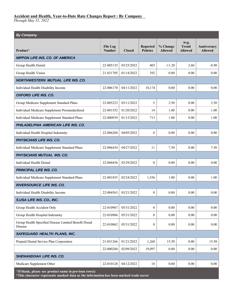*Through May 31, 2022*

| <b>By Company</b>                                                |                                  |               |                                    |                            |                                        |                               |
|------------------------------------------------------------------|----------------------------------|---------------|------------------------------------|----------------------------|----------------------------------------|-------------------------------|
| Product^                                                         | <b>File Log</b><br><b>Number</b> | <b>Closed</b> | <b>Reported</b><br><b>Policies</b> | % Change<br><b>Allowed</b> | Avg.<br><b>Trend</b><br><b>Allowed</b> | Anniversary<br><b>Allowed</b> |
| <b>NIPPON LIFE INS. CO. OF AMERICA</b>                           |                                  |               |                                    |                            |                                        |                               |
| Group Health Dental                                              | 22-005135                        | 03/25/2022    | 403                                | $-11.20$                   | 2.60                                   | $-8.90$                       |
| Group Health Vision                                              | 21-031705                        | 01/14/2022    | 392                                | 0.00                       | 0.00                                   | 0.00                          |
| <b>NORTHWESTERN MUTUAL LIFE INS. CO.</b>                         |                                  |               |                                    |                            |                                        |                               |
| Individual Health Disability Income                              | 22-006170                        | 04/11/2022    | 10,174                             | 0.00                       | 0.00                                   | 0.00                          |
| <b>OXFORD LIFE INS. CO.</b>                                      |                                  |               |                                    |                            |                                        |                               |
| Group Medicare Supplement Standard Plans                         | 22-005223                        | 03/11/2022    | 5                                  | 2.50                       | 0.00                                   | 2.50                          |
| Individual Medicare Supplement Prestandardized                   | 22-001552                        | 01/20/2022    | 14                                 | 1.00                       | 0.00                                   | 1.00                          |
| Individual Medicare Supplement Standard Plans                    | 22-000939                        | 01/13/2022    | 713                                | 1.00                       | 0.00                                   | 1.00                          |
| PHILADELPHIA AMERICAN LIFE INS. CO.                              |                                  |               |                                    |                            |                                        |                               |
| Individual Health Hospital Indemnity                             | 22-006204                        | 04/05/2022    | $\overline{0}$                     | 0.00                       | 0.00                                   | 0.00                          |
| <b>PHYSICIANS LIFE INS. CO.</b>                                  |                                  |               |                                    |                            |                                        |                               |
| Individual Medicare Supplement Standard Plans                    | 22-006434                        | 04/27/2022    | 11                                 | 7.50                       | 0.00                                   | 7.50                          |
| PHYSICIANS MUTUAL INS. CO.                                       |                                  |               |                                    |                            |                                        |                               |
| Individual Health Dental                                         | 22-004436                        | 03/29/2022    | $\boldsymbol{0}$                   | 0.00                       | 0.00                                   | 0.00                          |
| PRINCIPAL LIFE INS. CO.                                          |                                  |               |                                    |                            |                                        |                               |
| Individual Medicare Supplement Standard Plans                    | 22-001855                        | 02/24/2022    | 1,556                              | 1.00                       | 0.00                                   | 1.00                          |
| RIVERSOURCE LIFE INS. CO.                                        |                                  |               |                                    |                            |                                        |                               |
| Individual Health Disability Income                              | 22-004563                        | 03/21/2022    | $\overline{0}$                     | 0.00                       | 0.00                                   | 0.00                          |
| S.USA LIFE INS. CO., INC.                                        |                                  |               |                                    |                            |                                        |                               |
| Group Health Accident Only                                       | 22-010967                        | 05/31/2022    | $\boldsymbol{0}$                   | 0.00                       | 0.00                                   | 0.00                          |
| Group Health Hospital Indemnity                                  | 22-010966                        | 05/31/2022    | $\boldsymbol{0}$                   | $0.00\,$                   | 0.00                                   | 0.00                          |
| Group Health Specified Disease Limited Benefit Dread<br>Disease  | 22-010862                        | 05/31/2022    | $\boldsymbol{0}$                   | 0.00                       | 0.00                                   | 0.00                          |
| SAFEGUARD HEALTH PLANS, INC.                                     |                                  |               |                                    |                            |                                        |                               |
| Prepaid Dental Service Plan Corporation                          | 21-031266                        | 01/21/2022    | 1,268                              | 15.50                      | 0.00                                   | 15.50                         |
|                                                                  | 22-000284                        | 02/09/2022    | 19,097                             | 0.00                       | 0.00                                   | 0.00                          |
| <b>SHENANDOAH LIFE INS. CO.</b>                                  |                                  |               |                                    |                            |                                        |                               |
| Medicare Supplement Other                                        | 22-010128                        | 04/12/2022    | $18\,$                             | $0.00\,$                   | 0.00                                   | 0.00                          |
| $\triangle$ If blank, please see product name in previous row(s) |                                  |               |                                    |                            |                                        |                               |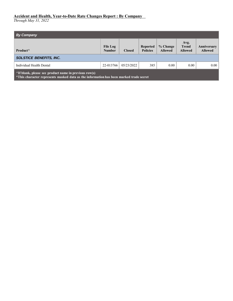| <b>By Company</b>                                                                                                                                        |                                  |               |                                    |                            |                                        |                                      |  |  |
|----------------------------------------------------------------------------------------------------------------------------------------------------------|----------------------------------|---------------|------------------------------------|----------------------------|----------------------------------------|--------------------------------------|--|--|
| Product <sup>^</sup>                                                                                                                                     | <b>File Log</b><br><b>Number</b> | <b>Closed</b> | <b>Reported</b><br><b>Policies</b> | % Change<br><b>Allowed</b> | Avg.<br><b>Trend</b><br><b>Allowed</b> | <b>Anniversary</b><br><b>Allowed</b> |  |  |
| <b>SOLSTICE BENEFITS, INC.</b>                                                                                                                           |                                  |               |                                    |                            |                                        |                                      |  |  |
| Individual Health Dental                                                                                                                                 | 22-013766                        | 05/23/2022    | 385                                | 0.00                       | 0.00                                   | 0.00                                 |  |  |
| $\Lambda$ If blank, please see product name in previous row(s)<br>*This character represents masked data as the information has been marked trade secret |                                  |               |                                    |                            |                                        |                                      |  |  |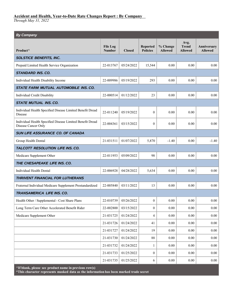*Through May 31, 2022*

| <b>By Company</b>                                                                |                                  |               |                                    |                            |                                        |                               |
|----------------------------------------------------------------------------------|----------------------------------|---------------|------------------------------------|----------------------------|----------------------------------------|-------------------------------|
| Product <sup>^</sup>                                                             | <b>File Log</b><br><b>Number</b> | <b>Closed</b> | <b>Reported</b><br><b>Policies</b> | % Change<br><b>Allowed</b> | Avg.<br><b>Trend</b><br><b>Allowed</b> | Anniversary<br><b>Allowed</b> |
| <b>SOLSTICE BENEFITS, INC.</b>                                                   |                                  |               |                                    |                            |                                        |                               |
| Prepaid Limited Health Service Organization                                      | 22-013767                        | 05/24/2022    | 15,544                             | 0.00                       | 0.00                                   | 0.00                          |
| <b>STANDARD INS. CO.</b>                                                         |                                  |               |                                    |                            |                                        |                               |
| Individual Health Disability Income                                              | 22-009986                        | 05/19/2022    | 293                                | 0.00                       | 0.00                                   | 0.00                          |
| <b>STATE FARM MUTUAL AUTOMOBILE INS. CO.</b>                                     |                                  |               |                                    |                            |                                        |                               |
| Individual Credit Disability                                                     | 22-000514                        | 01/12/2022    | 23                                 | 0.00                       | 0.00                                   | 0.00                          |
| <b>STATE MUTUAL INS. CO.</b>                                                     |                                  |               |                                    |                            |                                        |                               |
| Individual Health Specified Disease Limited Benefit Dread<br>Disease             | 22-011240                        | 05/19/2022    | $\mathbf{0}$                       | 0.00                       | 0.00                                   | 0.00                          |
| Individual Health Specified Disease Limited Benefit Dread<br>Disease Cancer Only | 22-004361                        | 03/15/2022    | $\mathbf{0}$                       | 0.00                       | 0.00                                   | 0.00                          |
| SUN LIFE ASSURANCE CO. OF CANADA                                                 |                                  |               |                                    |                            |                                        |                               |
| Group Health Dental                                                              | 21-031511                        | 01/07/2022    | 5,870                              | $-1.40$                    | 0.00                                   | $-1.40$                       |
| TALCOTT RESOLUTION LIFE INS. CO.                                                 |                                  |               |                                    |                            |                                        |                               |
| Medicare Supplement Other                                                        | 22-011953                        | 05/09/2022    | 98                                 | 0.00                       | 0.00                                   | 0.00                          |
| THE CHESAPEAKE LIFE INS. CO.                                                     |                                  |               |                                    |                            |                                        |                               |
| <b>Individual Health Dental</b>                                                  | 22-006928                        | 04/28/2022    | 5,634                              | 0.00                       | 0.00                                   | 0.00                          |
| <b>THRIVENT FINANCIAL FOR LUTHERANS</b>                                          |                                  |               |                                    |                            |                                        |                               |
| Fraternal Individual Medicare Supplement Prestandardized                         | 22-005840                        | 03/11/2022    | 13                                 | 0.00                       | 0.00                                   | 0.00                          |
| <b>TRANSAMERICA LIFE INS. CO.</b>                                                |                                  |               |                                    |                            |                                        |                               |
| Health Other / Supplemental - Cost Share Plans                                   | 22-010739                        | 05/26/2022    | $\mathbf{0}$                       | $0.00\,$                   | $0.00\,$                               | $0.00\,$                      |
| Long Term Care Other Accelerated Benefit Rider                                   | 22-002800                        | 03/15/2022    | $\boldsymbol{0}$                   | $0.00\,$                   | 0.00                                   | 0.00                          |
| Medicare Supplement Other                                                        | 21-031725                        | 01/24/2022    | 4                                  | $0.00\,$                   | $0.00\,$                               | $0.00\,$                      |
|                                                                                  | 21-031726                        | 01/24/2022    | 41                                 | $0.00\,$                   | 0.00                                   | $0.00\,$                      |
|                                                                                  | 21-031727                        | 01/24/2022    | 19                                 | 0.00                       | 0.00                                   | 0.00                          |
|                                                                                  | 21-031730                        | 01/24/2022    | 88                                 | $0.00\,$                   | 0.00                                   | 0.00                          |
|                                                                                  | 21-031732                        | 01/24/2022    | 1                                  | 0.00                       | 0.00                                   | 0.00                          |
|                                                                                  | 21-031733                        | 01/25/2022    | $\mathbf{0}$                       | $0.00\,$                   | $0.00\,$                               | 0.00                          |
|                                                                                  | 21-031735                        | 01/25/2022    | 6                                  | $0.00\,$                   | $0.00\,$                               | 0.00                          |
| $\wedge$ If blank, please see product name in previous row(s)                    |                                  |               |                                    |                            |                                        |                               |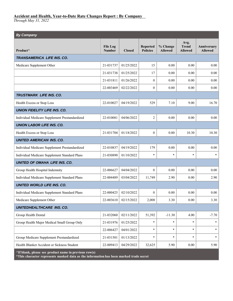*Through May 31, 2022*

| <b>By Company</b>                              |                                  |               |                                    |                            |                                        |                               |
|------------------------------------------------|----------------------------------|---------------|------------------------------------|----------------------------|----------------------------------------|-------------------------------|
| Product <sup>^</sup>                           | <b>File Log</b><br><b>Number</b> | <b>Closed</b> | <b>Reported</b><br><b>Policies</b> | % Change<br><b>Allowed</b> | Avg.<br><b>Trend</b><br><b>Allowed</b> | Anniversary<br><b>Allowed</b> |
| <b>TRANSAMERICA LIFE INS. CO.</b>              |                                  |               |                                    |                            |                                        |                               |
| Medicare Supplement Other                      | 21-031737                        | 01/25/2022    | 15                                 | 0.00                       | 0.00                                   | 0.00                          |
|                                                | 21-031738                        | 01/25/2022    | 17                                 | 0.00                       | 0.00                                   | 0.00                          |
|                                                | 21-031811                        | 01/26/2022    | $\overline{0}$                     | 0.00                       | 0.00                                   | 0.00                          |
|                                                | 22-003469                        | 02/22/2022    | $\mathbf{0}$                       | 0.00                       | 0.00                                   | 0.00                          |
| <b>TRUSTMARK LIFE INS. CO.</b>                 |                                  |               |                                    |                            |                                        |                               |
| Health Excess or Stop Loss                     | 22-010027                        | 04/19/2022    | 529                                | 7.10                       | 9.00                                   | 16.70                         |
| <b>UNION FIDELITY LIFE INS. CO.</b>            |                                  |               |                                    |                            |                                        |                               |
| Individual Medicare Supplement Prestandardized | 22-010081                        | 04/06/2022    | $\overline{c}$                     | 0.00                       | 0.00                                   | 0.00                          |
| <b>UNION LABOR LIFE INS. CO.</b>               |                                  |               |                                    |                            |                                        |                               |
| Health Excess or Stop Loss                     | 21-031704                        | 01/18/2022    | $\boldsymbol{0}$                   | 0.00                       | 10.30                                  | 10.30                         |
| <b>UNITED AMERICAN INS. CO.</b>                |                                  |               |                                    |                            |                                        |                               |
| Individual Medicare Supplement Prestandardized | 22-010837                        | 04/19/2022    | 179                                | 0.00                       | 0.00                                   | 0.00                          |
| Individual Medicare Supplement Standard Plans  | 21-030890                        | 01/10/2022    | $\ast$                             | $\ast$                     | $\ast$                                 | $\ast$                        |
| UNITED OF OMAHA LIFE INS. CO.                  |                                  |               |                                    |                            |                                        |                               |
| Group Health Hospital Indemnity                | 22-006627                        | 04/04/2022    | $\mathbf{0}$                       | 0.00                       | 0.00                                   | $0.00\,$                      |
| Individual Medicare Supplement Standard Plans  | 22-004489                        | 03/04/2022    | 11,749                             | 2.90                       | 0.00                                   | 2.90                          |
| UNITED WORLD LIFE INS. CO.                     |                                  |               |                                    |                            |                                        |                               |
| Individual Medicare Supplement Standard Plans  | 22-000425                        | 02/10/2022    | $\mathbf{0}$                       | 0.00                       | 0.00                                   | 0.00                          |
| Medicare Supplement Other                      | 22-003610                        | 02/15/2022    | 2,008                              | 3.30                       | $0.00\,$                               | 3.30                          |
| UNITEDHEALTHCARE INS. CO.                      |                                  |               |                                    |                            |                                        |                               |
| Group Health Dental                            | 21-032060                        | 02/11/2022    | 51,392                             | $-11.30$                   | 4.00                                   | $-7.70$                       |
| Group Health Major Medical Small Group Only    | 21-031976                        | 01/25/2022    | $\ast$                             | $\ast$                     | $\ast$                                 |                               |
|                                                | 22-006427                        | 04/01/2022    | $\ast$                             | $\ast$                     | $\ast$                                 | $\ast$                        |
| Group Medicare Supplement Prestandardized      | 21-031501                        | 01/13/2022    | $\ast$                             | $\ast$                     | $\ast$                                 | $\ast$                        |
| Health Blanket Accident or Sickness Student    | 22-009413                        | 04/29/2022    | 32,625                             | 5.90                       | 0.00                                   | 5.90                          |

**^If blank, please see product name in previous row(s)**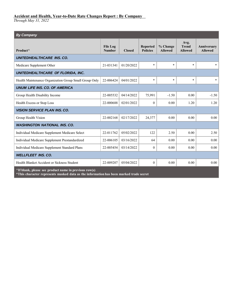*Through May 31, 2022*

| <b>By Company</b>                                              |                                  |               |                                    |                            |                                        |                               |  |  |
|----------------------------------------------------------------|----------------------------------|---------------|------------------------------------|----------------------------|----------------------------------------|-------------------------------|--|--|
| Product <sup>^</sup>                                           | <b>File Log</b><br><b>Number</b> | <b>Closed</b> | <b>Reported</b><br><b>Policies</b> | % Change<br><b>Allowed</b> | Avg.<br><b>Trend</b><br><b>Allowed</b> | Anniversary<br><b>Allowed</b> |  |  |
| UNITEDHEALTHCARE INS. CO.                                      |                                  |               |                                    |                            |                                        |                               |  |  |
| Medicare Supplement Other                                      | 21-031341                        | 01/20/2022    | $\ast$                             | $\ast$                     | $\ast$                                 | $\ast$                        |  |  |
| UNITEDHEALTHCARE OF FLORIDA, INC.                              |                                  |               |                                    |                            |                                        |                               |  |  |
| Health Maintenance Organization Group Small Group Only         | 22-006424                        | 04/01/2022    | $\ast$                             | $\ast$                     | $\ast$                                 | $\ast$                        |  |  |
| <b>UNUM LIFE INS. CO. OF AMERICA</b>                           |                                  |               |                                    |                            |                                        |                               |  |  |
| Group Health Disability Income                                 | 22-005532                        | 04/14/2022    | 75,991                             | $-1.50$                    | 0.00                                   | $-1.50$                       |  |  |
| Health Excess or Stop Loss                                     | 22-000688                        | 02/01/2022    | $\overline{0}$                     | 0.00                       | 1.20                                   | 1.20                          |  |  |
| <b>VISION SERVICE PLAN INS. CO.</b>                            |                                  |               |                                    |                            |                                        |                               |  |  |
| Group Health Vision                                            | 22-002168                        | 02/17/2022    | 24,377                             | 0.00                       | 0.00                                   | 0.00                          |  |  |
| <b>WASHINGTON NATIONAL INS. CO.</b>                            |                                  |               |                                    |                            |                                        |                               |  |  |
| Individual Medicare Supplement Medicare Select                 | 22-011762                        | 05/02/2022    | 122                                | 2.50                       | 0.00                                   | 2.50                          |  |  |
| Individual Medicare Supplement Prestandardized                 | 22-006105                        | 03/16/2022    | 64                                 | 0.00                       | 0.00                                   | 0.00                          |  |  |
| Individual Medicare Supplement Standard Plans                  | 22-005454                        | 03/14/2022    | $\theta$                           | 0.00                       | 0.00                                   | 0.00                          |  |  |
| <b>WELLFLEET INS. CO.</b>                                      |                                  |               |                                    |                            |                                        |                               |  |  |
| Health Blanket Accident or Sickness Student                    | 22-009207                        | 05/04/2022    | $\overline{0}$                     | 0.00                       | 0.00                                   | 0.00                          |  |  |
| $\Lambda$ If blank, please see product name in previous row(s) |                                  |               |                                    |                            |                                        |                               |  |  |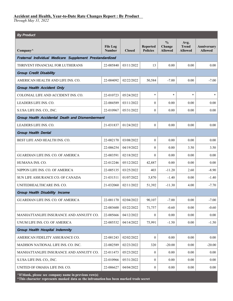*Through May 31, 2022*

| <b>By Product</b>                                        |                                  |               |                                    |                                           |                                 |                               |  |  |
|----------------------------------------------------------|----------------------------------|---------------|------------------------------------|-------------------------------------------|---------------------------------|-------------------------------|--|--|
| Company^                                                 | <b>File Log</b><br><b>Number</b> | <b>Closed</b> | <b>Reported</b><br><b>Policies</b> | $\frac{0}{0}$<br>Change<br><b>Allowed</b> | Avg.<br><b>Trend</b><br>Allowed | Anniversary<br><b>Allowed</b> |  |  |
| Fraternal Individual Medicare Supplement Prestandardized |                                  |               |                                    |                                           |                                 |                               |  |  |
| THRIVENT FINANCIAL FOR LUTHERANS                         | 22-005840                        | 03/11/2022    | 13                                 | 0.00                                      | 0.00                            | 0.00                          |  |  |
| <b>Group Credit Disability</b>                           |                                  |               |                                    |                                           |                                 |                               |  |  |
| AMERICAN HEALTH AND LIFE INS. CO.                        | 22-004092                        | 02/22/2022    | 50,584                             | $-7.00$                                   | 0.00                            | $-7.00$                       |  |  |
| <b>Group Health Accident Only</b>                        |                                  |               |                                    |                                           |                                 |                               |  |  |
| COLONIAL LIFE AND ACCIDENT INS. CO.                      | 22-010723                        | 05/24/2022    | $\ast$                             | $\ast$                                    | $\ast$                          | *                             |  |  |
| LEADERS LIFE INS. CO.                                    | 22-004589                        | 03/11/2022    | $\overline{0}$                     | 0.00                                      | 0.00                            | 0.00                          |  |  |
| S.USA LIFE INS. CO., INC.                                | 22-010967                        | 05/31/2022    | $\overline{0}$                     | 0.00                                      | 0.00                            | 0.00                          |  |  |
| Group Health Accidental Death and Dismemberment          |                                  |               |                                    |                                           |                                 |                               |  |  |
| LEADERS LIFE INS. CO.                                    | 21-031837                        | 01/24/2022    | $\overline{0}$                     | 0.00                                      | 0.00                            | 0.00                          |  |  |
| <b>Group Health Dental</b>                               |                                  |               |                                    |                                           |                                 |                               |  |  |
| BEST LIFE AND HEALTH INS. CO.                            | 22-002170                        | 03/08/2022    | $\overline{0}$                     | 0.00                                      | 0.00                            | 0.00                          |  |  |
|                                                          | 22-006254                        | 04/19/2022    | $\Omega$                           | 0.00                                      | 3.50                            | 3.50                          |  |  |
| <b>GUARDIAN LIFE INS. CO. OF AMERICA</b>                 | 22-003591                        | 02/18/2022    | $\theta$                           | 0.00                                      | 0.00                            | 0.00                          |  |  |
| HUMANA INS. CO.                                          | 22-012246                        | 05/12/2022    | 42,887                             | 0.00                                      | 0.00                            | 0.00                          |  |  |
| NIPPON LIFE INS. CO. OF AMERICA                          | 22-005135                        | 03/25/2022    | 403                                | $-11.20$                                  | 2.60                            | $-8.90$                       |  |  |
| SUN LIFE ASSURANCE CO. OF CANADA                         | 21-031511                        | 01/07/2022    | 5,870                              | $-1.40$                                   | 0.00                            | $-1.40$                       |  |  |
| UNITEDHEALTHCARE INS. CO.                                | 21-032060                        | 02/11/2022    | 51,392                             | $-11.30$                                  | 4.00                            | $-7.70$                       |  |  |
| <b>Group Health Disability Income</b>                    |                                  |               |                                    |                                           |                                 |                               |  |  |
| GUARDIAN LIFE INS. CO. OF AMERICA                        | 22-001170                        | 02/04/2022    | 90,107                             | $-7.00$                                   | 0.00                            | $-7.00$                       |  |  |
|                                                          | 22-003600                        | 03/22/2022    | 71,757                             | $-0.60$                                   | 0.00                            | $-0.60$                       |  |  |
| MANHATTANLIFE INSURANCE AND ANNUITY CO.                  | 22-005666                        | 04/12/2022    | $\boldsymbol{0}$                   | 0.00                                      | 0.00                            | $0.00\,$                      |  |  |
| UNUM LIFE INS. CO. OF AMERICA                            | 22-005532                        | 04/14/2022    | 75,991                             | $-1.50$                                   | 0.00                            | $-1.50$                       |  |  |
| <b>Group Health Hospital Indemnity</b>                   |                                  |               |                                    |                                           |                                 |                               |  |  |
| AMERICAN FIDELITY ASSURANCE CO.                          | 22-001243                        | 02/02/2022    | $\overline{0}$                     | 0.00                                      | 0.00                            | 0.00                          |  |  |
| MADISON NATIONAL LIFE INS. CO. INC.                      | 22-002589                        | 02/23/2022    | 320                                | $-20.00$                                  | 0.00                            | $-20.00$                      |  |  |
| MANHATTANLIFE INSURANCE AND ANNUITY CO.                  | 22-011473                        | 05/23/2022    | $\overline{0}$                     | 0.00                                      | 0.00                            | 0.00                          |  |  |
| S.USA LIFE INS. CO., INC.                                | 22-010966                        | 05/31/2022    | $\overline{0}$                     | 0.00                                      | 0.00                            | 0.00                          |  |  |
| UNITED OF OMAHA LIFE INS. CO.                            | 22-006627                        | 04/04/2022    | $\boldsymbol{0}$                   | $0.00\,$                                  | 0.00                            | 0.00                          |  |  |

**^If blank, please see company name in previous row(s)**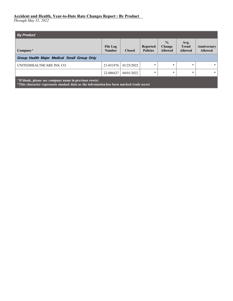| <b>By Product</b>                                                                                                                                        |                                  |               |                                    |                                           |                                        |                               |  |  |
|----------------------------------------------------------------------------------------------------------------------------------------------------------|----------------------------------|---------------|------------------------------------|-------------------------------------------|----------------------------------------|-------------------------------|--|--|
| $\mathbf{Company}^{\wedge}$                                                                                                                              | <b>File Log</b><br><b>Number</b> | <b>Closed</b> | <b>Reported</b><br><b>Policies</b> | $\frac{6}{9}$<br>Change<br><b>Allowed</b> | Avg.<br><b>Trend</b><br><b>Allowed</b> | Anniversary<br><b>Allowed</b> |  |  |
| Group Health Major Medical Small Group Only                                                                                                              |                                  |               |                                    |                                           |                                        |                               |  |  |
| UNITEDHEALTHCARE INS. CO.                                                                                                                                | 21-031976                        | 01/25/2022    | $*$                                | $\ast$                                    | $*$                                    | *                             |  |  |
|                                                                                                                                                          | 22-006427                        | 04/01/2022    | $*$                                | $\ast$                                    | $*$                                    | $\ast$                        |  |  |
| $\Lambda$ If blank, please see company name in previous row(s)<br>*This character represents masked data as the infromation has been marked trade secret |                                  |               |                                    |                                           |                                        |                               |  |  |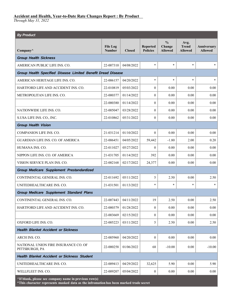*Through May 31, 2022*

| <b>By Product</b>                                            |                                  |               |                                    |                                           |                                        |                               |  |  |  |
|--------------------------------------------------------------|----------------------------------|---------------|------------------------------------|-------------------------------------------|----------------------------------------|-------------------------------|--|--|--|
| Company^                                                     | <b>File Log</b><br><b>Number</b> | <b>Closed</b> | <b>Reported</b><br><b>Policies</b> | $\frac{0}{0}$<br>Change<br><b>Allowed</b> | Avg.<br><b>Trend</b><br><b>Allowed</b> | Anniversary<br><b>Allowed</b> |  |  |  |
| <b>Group Health Sickness</b>                                 |                                  |               |                                    |                                           |                                        |                               |  |  |  |
| AMERICAN PUBLIC LIFE INS. CO.                                | 22-007310                        | 04/08/2022    | $\ast$                             | $\ast$                                    | $\ast$                                 | $\star$                       |  |  |  |
| Group Health Specified Disease Limited Benefit Dread Disease |                                  |               |                                    |                                           |                                        |                               |  |  |  |
| AMERICAN HERITAGE LIFE INS. CO.                              | 22-006157                        | 04/20/2022    | $\star$                            | $\ast$                                    | $\ast$                                 | $\ast$                        |  |  |  |
| HARTFORD LIFE AND ACCIDENT INS. CO.                          | 22-010819                        | 05/03/2022    | $\mathbf{0}$                       | 0.00                                      | 0.00                                   | 0.00                          |  |  |  |
| METROPOLITAN LIFE INS. CO.                                   | 22-000377                        | 01/14/2022    | $\mathbf{0}$                       | 0.00                                      | 0.00                                   | $0.00\,$                      |  |  |  |
|                                                              | 22-000380                        | 01/14/2022    | $\theta$                           | 0.00                                      | 0.00                                   | 0.00                          |  |  |  |
| NATIONWIDE LIFE INS. CO.                                     | 22-005047                        | 03/28/2022    | $\mathbf{0}$                       | 0.00                                      | 0.00                                   | 0.00                          |  |  |  |
| S.USA LIFE INS. CO., INC.                                    | 22-010862                        | 05/31/2022    | $\theta$                           | 0.00                                      | 0.00                                   | 0.00                          |  |  |  |
| <b>Group Health Vision</b>                                   |                                  |               |                                    |                                           |                                        |                               |  |  |  |
| COMPANION LIFE INS. CO.                                      | 21-031214                        | 01/10/2022    | $\theta$                           | 0.00                                      | 0.00                                   | 0.00                          |  |  |  |
| <b>GUARDIAN LIFE INS. CO. OF AMERICA</b>                     | 22-006451                        | 04/05/2022    | 59,442                             | $-1.80$                                   | 2.00                                   | 0.20                          |  |  |  |
| HUMANA INS. CO.                                              | 22-011027                        | 05/27/2022    | $\mathbf{0}$                       | 0.00                                      | 0.00                                   | 0.00                          |  |  |  |
| NIPPON LIFE INS. CO. OF AMERICA                              | 21-031705                        | 01/14/2022    | 392                                | 0.00                                      | 0.00                                   | 0.00                          |  |  |  |
| VISION SERVICE PLAN INS. CO.                                 | 22-002168                        | 02/17/2022    | 24,377                             | 0.00                                      | 0.00                                   | 0.00                          |  |  |  |
| Group Medicare Supplement Prestandardized                    |                                  |               |                                    |                                           |                                        |                               |  |  |  |
| CONTINENTAL GENERAL INS. CO.                                 | 22-011692                        | 05/11/2022    | 5                                  | 2.50                                      | 0.00                                   | 2.50                          |  |  |  |
| UNITEDHEALTHCARE INS. CO.                                    | 21-031501                        | 01/13/2022    | $\ast$                             | $\ast$                                    | $\ast$                                 | $\ast$                        |  |  |  |
| Group Medicare Supplement Standard Plans                     |                                  |               |                                    |                                           |                                        |                               |  |  |  |
| CONTINENTAL GENERAL INS. CO.                                 | $22 - 007443$                    | 04/11/2022    | 19                                 | 2.50                                      | 0.00                                   | 2.50                          |  |  |  |
| HARTFORD LIFE AND ACCIDENT INS. CO.                          | 22-000379                        | 01/28/2022    | $\theta$                           | 0.00                                      | 0.00                                   | 0.00                          |  |  |  |
|                                                              | 22-003669                        | 02/15/2022    | $\mathbf{0}$                       | 0.00                                      | 0.00                                   | 0.00                          |  |  |  |
| OXFORD LIFE INS. CO.                                         | 22-005223                        | 03/11/2022    | 5                                  | 2.50                                      | 0.00                                   | 2.50                          |  |  |  |
| <b>Health Blanket Accident or Sickness</b>                   |                                  |               |                                    |                                           |                                        |                               |  |  |  |
| ARCH INS. CO.                                                | 22-005960                        | 04/20/2022    | $\boldsymbol{0}$                   | 0.00                                      | 0.00                                   | 0.00                          |  |  |  |
| NATIONAL UNION FIRE INSURANCE CO. OF<br>PITTSBURGH, PA       | 22-000258                        | 01/06/2022    | 68                                 | $-10.00$                                  | 0.00                                   | $-10.00$                      |  |  |  |
| <b>Health Blanket Accident or Sickness Student</b>           |                                  |               |                                    |                                           |                                        |                               |  |  |  |
| UNITEDHEALTHCARE INS. CO.                                    | 22-009413                        | 04/29/2022    | 32,625                             | 5.90                                      | 0.00                                   | 5.90                          |  |  |  |
| WELLFLEET INS. CO.                                           | 22-009207                        | 05/04/2022    | $\boldsymbol{0}$                   | 0.00                                      | 0.00                                   | 0.00                          |  |  |  |

**^If blank, please see company name in previous row(s)**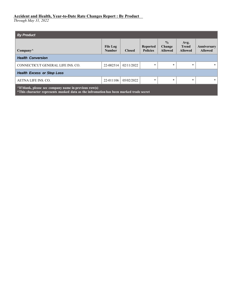| <b>By Product</b>                                                                                                                                       |                                  |               |                                    |                                           |                                        |                               |  |  |
|---------------------------------------------------------------------------------------------------------------------------------------------------------|----------------------------------|---------------|------------------------------------|-------------------------------------------|----------------------------------------|-------------------------------|--|--|
| $\mathbf{Company}^{\wedge}$                                                                                                                             | <b>File Log</b><br><b>Number</b> | <b>Closed</b> | <b>Reported</b><br><b>Policies</b> | $\frac{0}{0}$<br>Change<br><b>Allowed</b> | Avg.<br><b>Trend</b><br><b>Allowed</b> | Anniversary<br><b>Allowed</b> |  |  |
| <b>Health Conversion</b>                                                                                                                                |                                  |               |                                    |                                           |                                        |                               |  |  |
| CONNECTICUT GENERAL LIFE INS. CO.                                                                                                                       | 22-002514                        | 02/11/2022    | $\ast$                             | $\ast$                                    | $\ast$                                 | $*$                           |  |  |
| <b>Health Excess or Stop Loss</b>                                                                                                                       |                                  |               |                                    |                                           |                                        |                               |  |  |
| AETNA LIFE INS. CO.                                                                                                                                     | 22-011106                        | 05/02/2022    | $\ast$                             | $\ast$                                    | $\ast$                                 | $*$                           |  |  |
| $\wedge$ If blank, please see company name in previous row(s)<br>*This character represents masked data as the infromation has been marked trade secret |                                  |               |                                    |                                           |                                        |                               |  |  |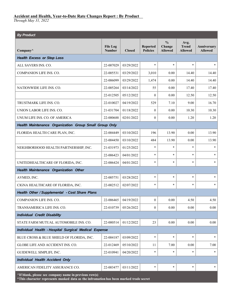| <b>By Product</b>                                                                                                                                        |                                  |               |                                    |                                           |                                        |                               |  |  |  |
|----------------------------------------------------------------------------------------------------------------------------------------------------------|----------------------------------|---------------|------------------------------------|-------------------------------------------|----------------------------------------|-------------------------------|--|--|--|
| Company^                                                                                                                                                 | <b>File Log</b><br><b>Number</b> | <b>Closed</b> | <b>Reported</b><br><b>Policies</b> | $\frac{0}{0}$<br>Change<br><b>Allowed</b> | Avg.<br><b>Trend</b><br><b>Allowed</b> | Anniversary<br><b>Allowed</b> |  |  |  |
| <b>Health Excess or Stop Loss</b>                                                                                                                        |                                  |               |                                    |                                           |                                        |                               |  |  |  |
| ALL SAVERS INS. CO.                                                                                                                                      | 22-007029                        | 03/29/2022    | $\ast$                             | $\ast$                                    | $\ast$                                 | $\ast$                        |  |  |  |
| COMPANION LIFE INS. CO.                                                                                                                                  | 22-005531                        | 03/29/2022    | 3,010                              | 0.00                                      | 14.40                                  | 14.40                         |  |  |  |
|                                                                                                                                                          | 22-006099                        | 03/29/2022    | 1,474                              | 0.00                                      | 14.40                                  | 14.40                         |  |  |  |
| NATIONWIDE LIFE INS. CO.                                                                                                                                 | 22-005264                        | 03/14/2022    | 55                                 | 0.00                                      | 17.40                                  | 17.40                         |  |  |  |
|                                                                                                                                                          | 22-012505                        | 05/12/2022    | $\mathbf{0}$                       | 0.00                                      | 12.50                                  | 12.50                         |  |  |  |
| TRUSTMARK LIFE INS. CO.                                                                                                                                  | 22-010027                        | 04/19/2022    | 529                                | 7.10                                      | 9.00                                   | 16.70                         |  |  |  |
| UNION LABOR LIFE INS. CO.                                                                                                                                | 21-031704                        | 01/18/2022    | $\mathbf{0}$                       | 0.00                                      | 10.30                                  | 10.30                         |  |  |  |
| UNUM LIFE INS. CO. OF AMERICA                                                                                                                            | 22-000688                        | 02/01/2022    | $\mathbf{0}$                       | 0.00                                      | 1.20                                   | 1.20                          |  |  |  |
| Health Maintenance Organization Group Small Group Only                                                                                                   |                                  |               |                                    |                                           |                                        |                               |  |  |  |
| FLORIDA HEALTH CARE PLAN, INC.                                                                                                                           | 22-004449                        | 03/10/2022    | 196                                | 13.90                                     | 0.00                                   | 13.90                         |  |  |  |
|                                                                                                                                                          | 22-004450                        | 03/10/2022    | 484                                | 13.90                                     | 0.00                                   | 13.90                         |  |  |  |
| NEIGHBORHOOD HEALTH PARTNERSHIP, INC.                                                                                                                    | 21-031973                        | 01/25/2022    | $\ast$                             | $\ast$                                    | $\ast$                                 | $\ast$                        |  |  |  |
|                                                                                                                                                          | 22-006423                        | 04/01/2022    | $\star$                            | $\ast$                                    | $\ast$                                 | $\ast$                        |  |  |  |
| UNITEDHEALTHCARE OF FLORIDA, INC.                                                                                                                        | 22-006424                        | 04/01/2022    | $\ast$                             | $\ast$                                    | $\ast$                                 | $\ast$                        |  |  |  |
| Health Maintenance Organization Other                                                                                                                    |                                  |               |                                    |                                           |                                        |                               |  |  |  |
| AVMED, INC.                                                                                                                                              | 22-005751                        | 03/28/2022    | $\ast$                             | $\ast$                                    | $\ast$                                 | $\ast$                        |  |  |  |
| CIGNA HEALTHCARE OF FLORIDA, INC.                                                                                                                        | 22-002512                        | 02/07/2022    | $\star$                            | $\ast$                                    | $\ast$                                 | $\ast$                        |  |  |  |
| Health Other / Supplemental - Cost Share Plans                                                                                                           |                                  |               |                                    |                                           |                                        |                               |  |  |  |
| COMPANION LIFE INS. CO.                                                                                                                                  | 22-006465                        | 04/19/2022    | $\boldsymbol{0}$                   | 0.00                                      | 4.50                                   | 4.50                          |  |  |  |
| TRANSAMERICA LIFE INS. CO.                                                                                                                               | 22-010739                        | 05/26/2022    | $\Omega$                           | 0.00                                      | 0.00                                   | 0.00                          |  |  |  |
| <b>Individual Credit Disability</b>                                                                                                                      |                                  |               |                                    |                                           |                                        |                               |  |  |  |
| STATE FARM MUTUAL AUTOMOBILE INS. CO.                                                                                                                    | 22-000514                        | 01/12/2022    | 23                                 | 0.00                                      | 0.00                                   | 0.00                          |  |  |  |
| Individual Health - Hospital Surgical Medical Expense                                                                                                    |                                  |               |                                    |                                           |                                        |                               |  |  |  |
| BLUE CROSS & BLUE SHIELD OF FLORIDA, INC.                                                                                                                | 22-004187                        | 03/09/2022    | $\ast$                             | $\ast$                                    | $\ast$                                 | $\ast$                        |  |  |  |
| GLOBE LIFE AND ACCIDENT INS. CO.                                                                                                                         | 22-012469                        | 05/10/2022    | 11                                 | 7.00                                      | 0.00                                   | 7.00                          |  |  |  |
| GUIDEWELL SIMPLIFI, INC.                                                                                                                                 | 22-010941                        | 04/20/2022    | $\ast$                             | $\ast$                                    | $\ast$                                 | $\ast$                        |  |  |  |
| Individual Health Accident Only                                                                                                                          |                                  |               |                                    |                                           |                                        |                               |  |  |  |
| AMERICAN FIDELITY ASSURANCE CO.                                                                                                                          | 22-003477                        | 03/11/2022    | $\ast$                             | $\ast$                                    | $\ast$                                 | $\ast$                        |  |  |  |
| $\Lambda$ If blank, please see company name in previous row(s)<br>*This character represents masked data as the infromation has been marked trade secret |                                  |               |                                    |                                           |                                        |                               |  |  |  |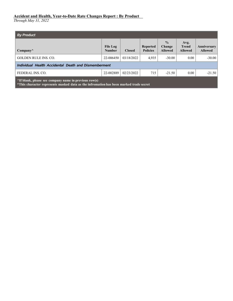| <b>By Product</b>                                                                                                                                        |                                  |               |                                    |                                           |                                        |                               |  |  |
|----------------------------------------------------------------------------------------------------------------------------------------------------------|----------------------------------|---------------|------------------------------------|-------------------------------------------|----------------------------------------|-------------------------------|--|--|
| $\mathbf{Company}^{\wedge}$                                                                                                                              | <b>File Log</b><br><b>Number</b> | <b>Closed</b> | <b>Reported</b><br><b>Policies</b> | $\frac{6}{9}$<br>Change<br><b>Allowed</b> | Avg.<br><b>Trend</b><br><b>Allowed</b> | Anniversary<br><b>Allowed</b> |  |  |
| <b>GOLDEN RULE INS. CO.</b>                                                                                                                              | 22-006450                        | 03/18/2022    | 4,935                              | $-30.00$                                  | 0.00                                   | $-30.00$                      |  |  |
| Individual Health Accidental Death and Dismemberment                                                                                                     |                                  |               |                                    |                                           |                                        |                               |  |  |
| FEDERAL INS. CO.                                                                                                                                         | 22-002889                        | 02/23/2022    | 715                                | $-21.50$                                  | 0.00                                   | $-21.50$                      |  |  |
| $\Lambda$ If blank, please see company name in previous row(s)<br>*This character represents masked data as the infromation has been marked trade secret |                                  |               |                                    |                                           |                                        |                               |  |  |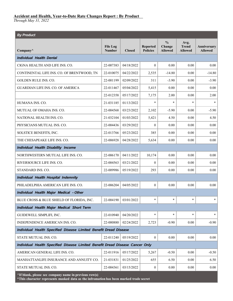*Through May 31, 2022*

| <b>By Product</b>                                                             |                                  |               |                                    |                                           |                                        |                                      |  |  |
|-------------------------------------------------------------------------------|----------------------------------|---------------|------------------------------------|-------------------------------------------|----------------------------------------|--------------------------------------|--|--|
| Company^                                                                      | <b>File Log</b><br><b>Number</b> | <b>Closed</b> | <b>Reported</b><br><b>Policies</b> | $\frac{0}{0}$<br>Change<br><b>Allowed</b> | Avg.<br><b>Trend</b><br><b>Allowed</b> | <b>Anniversary</b><br><b>Allowed</b> |  |  |
| <b>Individual Health Dental</b>                                               |                                  |               |                                    |                                           |                                        |                                      |  |  |
| CIGNA HEALTH AND LIFE INS. CO.                                                | 22-007383                        | 04/18/2022    | $\mathbf{0}$                       | 0.00                                      | 0.00                                   | 0.00                                 |  |  |
| CONTINENTAL LIFE INS. CO. OF BRENTWOOD, TN                                    | 22-010075                        | 04/22/2022    | 2,535                              | $-14.80$                                  | 0.00                                   | $-14.80$                             |  |  |
| <b>GOLDEN RULE INS. CO.</b>                                                   | 22-001199                        | 02/09/2022    | 311                                | $-3.90$                                   | 0.00                                   | $-3.90$                              |  |  |
| <b>GUARDIAN LIFE INS. CO. OF AMERICA</b>                                      | 22-011467                        | 05/04/2022    | 5,415                              | 0.00                                      | 0.00                                   | 0.00                                 |  |  |
|                                                                               | 22-012358                        | 05/17/2022    | 7,175                              | 2.00                                      | 0.00                                   | 2.00                                 |  |  |
| HUMANA INS. CO.                                                               | 21-031185                        | 01/13/2022    | $\star$                            | $\ast$                                    | $\ast$                                 | $\ast$                               |  |  |
| MUTUAL OF OMAHA INS. CO.                                                      | 22-004568                        | 03/23/2022    | 2,102                              | $-5.90$                                   | 0.00                                   | $-5.90$                              |  |  |
| NATIONAL HEALTH INS. CO.                                                      | 21-032104                        | 01/03/2022    | 5,421                              | 4.50                                      | 0.00                                   | 4.50                                 |  |  |
| PHYSICIANS MUTUAL INS. CO.                                                    | 22-004436                        | 03/29/2022    | $\mathbf{0}$                       | 0.00                                      | 0.00                                   | 0.00                                 |  |  |
| SOLSTICE BENEFITS, INC.                                                       | 22-013766                        | 05/23/2022    | 385                                | 0.00                                      | 0.00                                   | 0.00                                 |  |  |
| THE CHESAPEAKE LIFE INS. CO.                                                  | 22-006928                        | 04/28/2022    | 5,634                              | 0.00                                      | 0.00                                   | 0.00                                 |  |  |
| Individual Health Disability Income                                           |                                  |               |                                    |                                           |                                        |                                      |  |  |
| NORTHWESTERN MUTUAL LIFE INS. CO.                                             | 22-006170                        | 04/11/2022    | 10,174                             | 0.00                                      | 0.00                                   | 0.00                                 |  |  |
| RIVERSOURCE LIFE INS. CO.                                                     | 22-004563                        | 03/21/2022    | $\mathbf{0}$                       | 0.00                                      | 0.00                                   | 0.00                                 |  |  |
| STANDARD INS. CO.                                                             | 22-009986                        | 05/19/2022    | 293                                | 0.00                                      | 0.00                                   | 0.00                                 |  |  |
| Individual Health Hospital Indemnity                                          |                                  |               |                                    |                                           |                                        |                                      |  |  |
| PHILADELPHIA AMERICAN LIFE INS. CO.                                           | 22-006204                        | 04/05/2022    | $\mathbf{0}$                       | 0.00                                      | 0.00                                   | 0.00                                 |  |  |
| Individual Health Major Medical - Other                                       |                                  |               |                                    |                                           |                                        |                                      |  |  |
| BLUE CROSS & BLUE SHIELD OF FLORIDA, INC.                                     | 22-004190                        | 03/01/2022    | $\ast$                             | $\ast$                                    | $\ast$                                 | $\ast$                               |  |  |
| Individual Health Major Medical Short Term                                    |                                  |               |                                    |                                           |                                        |                                      |  |  |
| GUIDEWELL SIMPLIFI, INC.                                                      | 22-010940                        | 04/20/2022    | $\ast$                             | $\ast$                                    | $\ast$                                 | $\ast$                               |  |  |
| INDEPENDENCE AMERICAN INS. CO.                                                | 22-000880                        | 02/24/2022    | 2,723                              | $-0.90$                                   | 0.00                                   | $-0.90$                              |  |  |
| Individual Health Specified Disease Limited Benefit Dread Disease             |                                  |               |                                    |                                           |                                        |                                      |  |  |
| STATE MUTUAL INS. CO.                                                         | 22-011240                        | 05/19/2022    | $\boldsymbol{0}$                   | 0.00                                      | 0.00                                   | 0.00                                 |  |  |
| Individual Health Specified Disease Limited Benefit Dread Disease Cancer Only |                                  |               |                                    |                                           |                                        |                                      |  |  |
| AMERICAN GENERAL LIFE INS. CO.                                                | 22-011916                        | 05/17/2022    | 5,267                              | $-0.50$                                   | 0.00                                   | $-0.50$                              |  |  |
| MANHATTANLIFE INSURANCE AND ANNUITY CO.                                       | 21-031831                        | 01/25/2022    | 655                                | 6.50                                      | 0.00                                   | 6.50                                 |  |  |
| STATE MUTUAL INS. CO.                                                         | 22-004361                        | 03/15/2022    | $\boldsymbol{0}$                   | 0.00                                      | 0.00                                   | 0.00                                 |  |  |
| $\Delta$ If blank, please see company name in previous row(s)                 |                                  |               |                                    |                                           |                                        |                                      |  |  |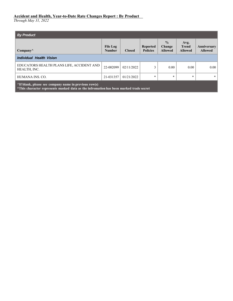| <b>By Product</b>                                                                                                                                        |                                  |               |                                    |                                           |                                        |                               |  |  |
|----------------------------------------------------------------------------------------------------------------------------------------------------------|----------------------------------|---------------|------------------------------------|-------------------------------------------|----------------------------------------|-------------------------------|--|--|
| $\mathbf{Company}^{\wedge}$                                                                                                                              | <b>File Log</b><br><b>Number</b> | <b>Closed</b> | <b>Reported</b><br><b>Policies</b> | $\frac{6}{9}$<br>Change<br><b>Allowed</b> | Avg.<br><b>Trend</b><br><b>Allowed</b> | Anniversary<br><b>Allowed</b> |  |  |
| Individual Health Vision                                                                                                                                 |                                  |               |                                    |                                           |                                        |                               |  |  |
| EDUCATORS HEALTH PLANS LIFE, ACCIDENT AND<br>HEALTH, INC.                                                                                                | 22-002099                        | 02/11/2022    | 3                                  | 0.00                                      | 0.00                                   | 0.00                          |  |  |
| HUMANA INS. CO.                                                                                                                                          | 21-031357                        | 01/21/2022    | $\star$                            | $\ast$                                    | $\ast$                                 | $\ast$                        |  |  |
| $\Lambda$ If blank, please see company name in previous row(s)<br>*This character represents masked data as the infromation has been marked trade secret |                                  |               |                                    |                                           |                                        |                               |  |  |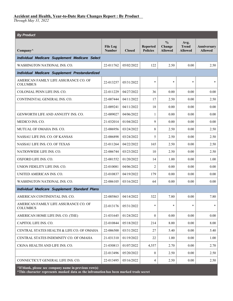*Through May 31, 2022*

| <b>By Product</b>                                        |                                  |               |                                    |                                           |                                        |                               |
|----------------------------------------------------------|----------------------------------|---------------|------------------------------------|-------------------------------------------|----------------------------------------|-------------------------------|
| $Company^{\wedge}$                                       | <b>File Log</b><br><b>Number</b> | <b>Closed</b> | <b>Reported</b><br><b>Policies</b> | $\frac{0}{0}$<br>Change<br><b>Allowed</b> | Avg.<br><b>Trend</b><br><b>Allowed</b> | Anniversary<br><b>Allowed</b> |
| Individual Medicare Supplement Medicare Select           |                                  |               |                                    |                                           |                                        |                               |
| WASHINGTON NATIONAL INS. CO.                             | 22-011762                        | 05/02/2022    | 122                                | 2.50                                      | 0.00                                   | 2.50                          |
| Individual Medicare Supplement Prestandardized           |                                  |               |                                    |                                           |                                        |                               |
| AMERICAN FAMILY LIFE ASSURANCE CO. OF<br><b>COLUMBUS</b> | 22-013257                        | 05/31/2022    | $\ast$                             | $\ast$                                    | $\ast$                                 | $\ast$                        |
| COLONIAL PENN LIFE INS. CO.                              | 22-011229                        | 04/27/2022    | 36                                 | 0.00                                      | 0.00                                   | 0.00                          |
| CONTINENTAL GENERAL INS. CO.                             | 22-007444                        | 04/11/2022    | 17                                 | 2.50                                      | 0.00                                   | 2.50                          |
|                                                          | 22-009241                        | 04/11/2022    | 18                                 | 0.00                                      | 0.00                                   | 0.00                          |
| GENWORTH LIFE AND ANNUITY INS. CO.                       | 22-009027                        | 04/06/2022    | 1                                  | 0.00                                      | 0.00                                   | 0.00                          |
| MEDICO INS. CO.                                          | 21-032014                        | 01/04/2022    | 9                                  | 0.00                                      | 0.00                                   | 0.00                          |
| MUTUAL OF OMAHA INS. CO.                                 | 22-006956                        | 03/24/2022    | 8                                  | 2.50                                      | 0.00                                   | 2.50                          |
| NASSAU LIFE INS. CO. OF KANSAS                           | 22-006898                        | 03/24/2022    | 5                                  | 2.50                                      | 0.00                                   | 2.50                          |
| NASSAU LIFE INS. CO. OF TEXAS                            | 22-011264                        | 04/22/2022    | 165                                | 2.50                                      | 0.00                                   | 2.50                          |
| NATIONWIDE LIFE INS. CO.                                 | 22-006744                        | 03/23/2022    | 10                                 | 2.50                                      | 0.00                                   | 2.50                          |
| <b>OXFORD LIFE INS. CO.</b>                              | 22-001552                        | 01/20/2022    | 14                                 | 1.00                                      | 0.00                                   | 1.00                          |
| UNION FIDELITY LIFE INS. CO.                             | 22-010081                        | 04/06/2022    | $\overline{2}$                     | 0.00                                      | 0.00                                   | 0.00                          |
| UNITED AMERICAN INS. CO.                                 | 22-010837                        | 04/19/2022    | 179                                | 0.00                                      | 0.00                                   | 0.00                          |
| <b>WASHINGTON NATIONAL INS. CO.</b>                      | 22-006105                        | 03/16/2022    | 64                                 | 0.00                                      | 0.00                                   | 0.00                          |
| Individual Medicare Supplement Standard Plans            |                                  |               |                                    |                                           |                                        |                               |
| AMERICAN CONTINENTAL INS. CO.                            | 22-005863                        | 04/14/2022    | 322                                | 7.80                                      | 0.00                                   | 7.80                          |
| AMERICAN FAMILY LIFE ASSURANCE CO. OF<br><b>COLUMBUS</b> | 22-013176                        | 05/31/2022    | $\star$                            | $\ast$                                    | $\ast$                                 | $\ast$                        |
| AMERICAN HOME LIFE INS. CO. (THE)                        | 21-031645                        | 01/24/2022    | $\mathbf{0}$                       | 0.00                                      | 0.00                                   | 0.00                          |
| CAPITOL LIFE INS. CO.                                    | 22-010844                        | 05/18/2022    | 214                                | 8.00                                      | 0.00                                   | 8.00                          |
| CENTRAL STATES HEALTH & LIFE CO. OF OMAHA                | 22-006500                        | 03/31/2022    | 27                                 | 5.40                                      | 0.00                                   | 5.40                          |
| CENTRAL STATES INDEMNITY CO. OF OMAHA                    | 21-031310                        | 01/19/2022    | 22                                 | 1.00                                      | 0.00                                   | 1.00                          |
| CIGNA HEALTH AND LIFE INS. CO.                           | 21-030813                        | 01/07/2022    | 4,557                              | 2.70                                      | 0.00                                   | 2.70                          |
|                                                          | 22-013496                        | 05/20/2022    | $\mathbf{0}$                       | 2.50                                      | 0.00                                   | 2.50                          |
| CONNECTICUT GENERAL LIFE INS. CO.                        | 22-013495                        | 05/16/2022    | 4                                  | 2.50                                      | 0.00                                   | 2.50                          |

**^If blank, please see company name in previous row(s)**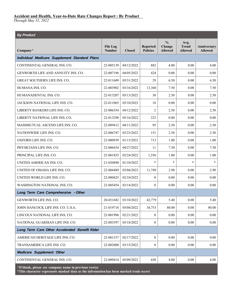*Through May 31, 2022*

| <b>By Product</b>                                             |                                  |               |                                    |                                           |                                        |                                      |
|---------------------------------------------------------------|----------------------------------|---------------|------------------------------------|-------------------------------------------|----------------------------------------|--------------------------------------|
| Company^                                                      | <b>File Log</b><br><b>Number</b> | <b>Closed</b> | <b>Reported</b><br><b>Policies</b> | $\frac{0}{0}$<br>Change<br><b>Allowed</b> | Avg.<br><b>Trend</b><br><b>Allowed</b> | <b>Anniversary</b><br><b>Allowed</b> |
| Individual Medicare Supplement Standard Plans                 |                                  |               |                                    |                                           |                                        |                                      |
| CONTINENTAL GENERAL INS. CO.                                  | 22-005139                        | 04/12/2022    | 882                                | 4.00                                      | 0.00                                   | 4.00                                 |
| GENWORTH LIFE AND ANNUITY INS. CO.                            | 22-007196                        | 04/05/2022    | 424                                | 0.00                                      | 0.00                                   | 0.00                                 |
| GREAT SOUTHERN LIFE INS. CO.                                  | 22-011609                        | 05/31/2022    | 29                                 | 6.50                                      | 0.00                                   | 6.50                                 |
| HUMANA INS. CO.                                               | 22-003902                        | 03/16/2022    | 13,360                             | 7.50                                      | 0.00                                   | 7.50                                 |
| HUMANADENTAL INS. CO.                                         | 22-013207                        | 05/13/2022    | 30                                 | 2.50                                      | 0.00                                   | 2.50                                 |
| JACKSON NATIONAL LIFE INS. CO.                                | 22-011065                        | 05/10/2022    | 18                                 | 0.00                                      | 0.00                                   | $0.00\,$                             |
| LIBERTY BANKERS LIFE INS. CO.                                 | 22-006354                        | 04/12/2022    | 2                                  | 2.50                                      | 0.00                                   | 2.50                                 |
| LIBERTY NATIONAL LIFE INS. CO.                                | 22-013298                        | 05/16/2022    | 223                                | 0.00                                      | 0.00                                   | 0.00                                 |
| MASSMUTUAL ASCEND LIFE INS. CO.                               | 22-009412                        | 04/11/2022    | 95                                 | 2.50                                      | 0.00                                   | 2.50                                 |
| NATIONWIDE LIFE INS. CO.                                      | 22-006747                        | 03/23/2022    | 151                                | 2.50                                      | 0.00                                   | 2.50                                 |
| OXFORD LIFE INS. CO.                                          | 22-000939                        | 01/13/2022    | 713                                | 1.00                                      | 0.00                                   | 1.00                                 |
| PHYSICIANS LIFE INS. CO.                                      | 22-006434                        | 04/27/2022    | 11                                 | 7.50                                      | 0.00                                   | 7.50                                 |
| PRINCIPAL LIFE INS. CO.                                       | 22-001855                        | 02/24/2022    | 1,556                              | 1.00                                      | 0.00                                   | 1.00                                 |
| UNITED AMERICAN INS. CO.                                      | 21-030890                        | 01/10/2022    | $\star$                            | $\ast$                                    | $\ast$                                 | $\ast$                               |
| UNITED OF OMAHA LIFE INS. CO.                                 | 22-004489                        | 03/04/2022    | 11,749                             | 2.90                                      | 0.00                                   | 2.90                                 |
| UNITED WORLD LIFE INS. CO.                                    | 22-000425                        | 02/10/2022    | $\mathbf{0}$                       | 0.00                                      | 0.00                                   | 0.00                                 |
| WASHINGTON NATIONAL INS. CO.                                  | 22-005454                        | 03/14/2022    | $\mathbf{0}$                       | 0.00                                      | 0.00                                   | 0.00                                 |
| Long Term Care Comprehensive - Other                          |                                  |               |                                    |                                           |                                        |                                      |
| <b>GENWORTH LIFE INS. CO.</b>                                 | 20-031682                        | 03/10/2022    | 42,779                             | 5.40                                      | 0.00                                   | 5.40                                 |
| JOHN HANCOCK LIFE INS. CO. U.S.A.                             | 21-019718                        | 05/04/2022    | 34,753                             | 80.00                                     | 0.00                                   | 80.00                                |
| LINCOLN NATIONAL LIFE INS. CO.                                | 22-001996                        | 02/21/2022    | $\mathbf{0}$                       | $0.00\,$                                  | 0.00                                   | 0.00                                 |
| NATIONAL GUARDIAN LIFE INS. CO.                               | 22-003397                        | 03/18/2022    | $\boldsymbol{0}$                   | 0.00                                      | 0.00                                   | 0.00                                 |
| Long Term Care Other Accelerated Benefit Rider                |                                  |               |                                    |                                           |                                        |                                      |
| AMERICAN HERITAGE LIFE INS. CO.                               | 22-001337                        | 02/17/2022    | $\boldsymbol{0}$                   | 0.00                                      | 0.00                                   | 0.00                                 |
| TRANSAMERICA LIFE INS. CO.                                    | 22-002800                        | 03/15/2022    | $\boldsymbol{0}$                   | $0.00\,$                                  | 0.00                                   | 0.00                                 |
| <b>Medicare Supplement Other</b>                              |                                  |               |                                    |                                           |                                        |                                      |
| CONTINENTAL GENERAL INS. CO.                                  | 22-009414                        | 05/09/2022    | 650                                | 4.00                                      | $0.00\,$                               | 4.00                                 |
| $\Delta$ If blank, please see company name in previous row(s) |                                  |               |                                    |                                           |                                        |                                      |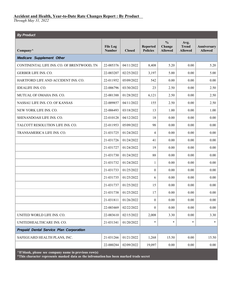*Through May 31, 2022*

| <b>By Product</b>                              |                                  |               |                                    |                                           |                                        |                               |
|------------------------------------------------|----------------------------------|---------------|------------------------------------|-------------------------------------------|----------------------------------------|-------------------------------|
| Company^                                       | <b>File Log</b><br><b>Number</b> | <b>Closed</b> | <b>Reported</b><br><b>Policies</b> | $\frac{0}{0}$<br>Change<br><b>Allowed</b> | Avg.<br><b>Trend</b><br><b>Allowed</b> | Anniversary<br><b>Allowed</b> |
| <b>Medicare Supplement Other</b>               |                                  |               |                                    |                                           |                                        |                               |
| CONTINENTAL LIFE INS. CO. OF BRENTWOOD, TN     | 22-005376                        | 04/11/2022    | 8,408                              | 5.20                                      | 0.00                                   | 5.20                          |
| <b>GERBER LIFE INS. CO.</b>                    | 22-003207                        | 02/25/2022    | 3,197                              | 5.00                                      | 0.00                                   | 5.00                          |
| HARTFORD LIFE AND ACCIDENT INS. CO.            | 22-011952                        | 05/09/2022    | 542                                | 0.00                                      | 0.00                                   | 0.00                          |
| <b>IDEALIFE INS. CO.</b>                       | 22-006796                        | 03/30/2022    | 23                                 | 2.50                                      | 0.00                                   | 2.50                          |
| MUTUAL OF OMAHA INS. CO.                       | 22-001388                        | 01/28/2022    | 6,121                              | 2.50                                      | 0.00                                   | 2.50                          |
| NASSAU LIFE INS. CO. OF KANSAS                 | 22-009857                        | 04/11/2022    | 155                                | 2.50                                      | 0.00                                   | 2.50                          |
| NEW YORK LIFE INS. CO.                         | 22-006493                        | 03/18/2022    | 13                                 | 1.00                                      | 0.00                                   | 1.00                          |
| SHENANDOAH LIFE INS. CO.                       | 22-010128                        | 04/12/2022    | 18                                 | 0.00                                      | 0.00                                   | $0.00\,$                      |
| TALCOTT RESOLUTION LIFE INS. CO.               | 22-011953                        | 05/09/2022    | 98                                 | 0.00                                      | 0.00                                   | $0.00\,$                      |
| TRANSAMERICA LIFE INS. CO.                     | 21-031725                        | 01/24/2022    | 4                                  | 0.00                                      | 0.00                                   | 0.00                          |
|                                                | 21-031726                        | 01/24/2022    | 41                                 | 0.00                                      | 0.00                                   | 0.00                          |
|                                                | 21-031727                        | 01/24/2022    | 19                                 | 0.00                                      | 0.00                                   | $0.00\,$                      |
|                                                | 21-031730                        | 01/24/2022    | 88                                 | 0.00                                      | 0.00                                   | 0.00                          |
|                                                | 21-031732                        | 01/24/2022    | 1                                  | 0.00                                      | 0.00                                   | 0.00                          |
|                                                | 21-031733                        | 01/25/2022    | $\mathbf{0}$                       | 0.00                                      | 0.00                                   | 0.00                          |
|                                                | 21-031735                        | 01/25/2022    | 6                                  | 0.00                                      | 0.00                                   | 0.00                          |
|                                                | 21-031737                        | 01/25/2022    | 15                                 | $0.00\,$                                  | 0.00                                   | 0.00                          |
|                                                | 21-031738                        | 01/25/2022    | 17                                 | 0.00                                      | 0.00                                   | 0.00                          |
|                                                | $21 - 031811$                    | 01/26/2022    | $\theta$                           | 0.00                                      | 0.00                                   | $0.00\,$                      |
|                                                | 22-003469                        | 02/22/2022    | $\mathbf{0}$                       | $0.00\,$                                  | 0.00                                   | 0.00                          |
| UNITED WORLD LIFE INS. CO.                     | 22-003610                        | 02/15/2022    | 2,008                              | 3.30                                      | 0.00                                   | 3.30                          |
| UNITEDHEALTHCARE INS. CO.                      | 21-031341                        | 01/20/2022    | $\ast$                             | $\ast$                                    | $\ast$                                 | $\ast$                        |
| <b>Prepaid Dental Service Plan Corporation</b> |                                  |               |                                    |                                           |                                        |                               |
| SAFEGUARD HEALTH PLANS, INC.                   | 21-031266                        | 01/21/2022    | 1,268                              | 15.50                                     | 0.00                                   | 15.50                         |
|                                                | 22-000284                        | 02/09/2022    | 19,097                             | 0.00                                      | 0.00                                   | 0.00                          |

**^If blank, please see company name in previous row(s)**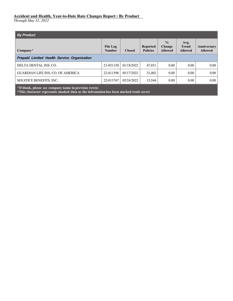*Through May 31, 2022*

| <b>By Product</b>                                                 |                                  |               |                                    |                                           |                                        |                               |
|-------------------------------------------------------------------|----------------------------------|---------------|------------------------------------|-------------------------------------------|----------------------------------------|-------------------------------|
| $\mathbf{Company}^{\wedge}$                                       | <b>File Log</b><br><b>Number</b> | <b>Closed</b> | <b>Reported</b><br><b>Policies</b> | $\frac{0}{0}$<br>Change<br><b>Allowed</b> | Avg.<br><b>Trend</b><br><b>Allowed</b> | Anniversary<br><b>Allowed</b> |
| Prepaid Limited Health Service Organization                       |                                  |               |                                    |                                           |                                        |                               |
| DELTA DENTAL INS. CO.                                             | 21-031150                        | 01/18/2022    | 47,851                             | 0.00                                      | 0.00                                   | 0.00                          |
| <b>GUARDIAN LIFE INS. CO. OF AMERICA</b>                          | 22-011596                        | 05/17/2022    | 31,002                             | 0.00                                      | 0.00                                   | 0.00                          |
| SOLSTICE BENEFITS, INC.                                           | 22-013767                        | 05/24/2022    | 15,544                             | 0.00                                      | 0.00                                   | 0.00                          |
| <sup>A</sup> If blank, please see company name in previous row(s) |                                  |               |                                    |                                           |                                        |                               |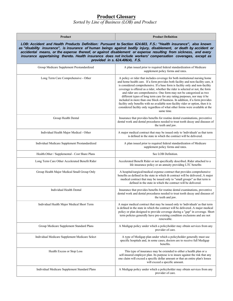#### **Product Glossary**

*Sorted by Line of Business (LOB) and Product*

| Product                                                                                                                                                                                                                                                                                                                                                                                                                                                                                                     | <b>Product Definition</b>                                                                                                                                                                                                                                                                                                                                                                                                                                                                                                                                                                                                                                                                                                                                  |  |  |  |  |
|-------------------------------------------------------------------------------------------------------------------------------------------------------------------------------------------------------------------------------------------------------------------------------------------------------------------------------------------------------------------------------------------------------------------------------------------------------------------------------------------------------------|------------------------------------------------------------------------------------------------------------------------------------------------------------------------------------------------------------------------------------------------------------------------------------------------------------------------------------------------------------------------------------------------------------------------------------------------------------------------------------------------------------------------------------------------------------------------------------------------------------------------------------------------------------------------------------------------------------------------------------------------------------|--|--|--|--|
| LOB: Accident and Health Products Definition: Pursuant to Section 624.603, F.S.: "Health insurance", also known<br>as "disability insurance", is insurance of human beings against bodily injury, disablement, or death by accident or<br>accidental means, or the expense thereof, or against disablement or expense resulting from sickness, and every<br>insurance appertaining thereto. Health insurance does not include workers' compensation coverages, except as<br>provided in s. 624.406(4), F.S. |                                                                                                                                                                                                                                                                                                                                                                                                                                                                                                                                                                                                                                                                                                                                                            |  |  |  |  |
| Group Medicare Supplement Prestandardized                                                                                                                                                                                                                                                                                                                                                                                                                                                                   | A plan issued prior to required federal standardization of Medicare<br>supplement policy forms and rates.                                                                                                                                                                                                                                                                                                                                                                                                                                                                                                                                                                                                                                                  |  |  |  |  |
| Long Term Care Comprehensive - Other                                                                                                                                                                                                                                                                                                                                                                                                                                                                        | A policy or rider that includes coverage for both institutional nursing home<br>and home health care. If a form provides both facility and non-facility care, it<br>is considered comprehensive. If a base form is facility only and non-facility<br>coverage is offered as a rider, whether the rider is selected or not, the form<br>and rider are comprehensive. One form may not be categorized as two<br>different types of long term care for any rating purposes, nor may it be<br>included in more than one block of business. In addition, if a form provides<br>facility only benefits with no available non-facility rider or option, then it is<br>considered facility only regardless of what other forms were available at the<br>same time. |  |  |  |  |
| Group Health Dental                                                                                                                                                                                                                                                                                                                                                                                                                                                                                         | Insurance that provides benefits for routine dental examinations, preventive<br>dental work and dental procedures needed to treat tooth decay and diseases of<br>the teeth and jaw.                                                                                                                                                                                                                                                                                                                                                                                                                                                                                                                                                                        |  |  |  |  |
| Individual Health Major Medical - Other                                                                                                                                                                                                                                                                                                                                                                                                                                                                     | A major medical contract that may be issued only to 'individuals' as that term<br>is defined in the state in which the contract will be delivered.                                                                                                                                                                                                                                                                                                                                                                                                                                                                                                                                                                                                         |  |  |  |  |
| Individual Medicare Supplement Prestandardized                                                                                                                                                                                                                                                                                                                                                                                                                                                              | A plan issued prior to required federal standardization of Medicare<br>supplement policy forms and rates.                                                                                                                                                                                                                                                                                                                                                                                                                                                                                                                                                                                                                                                  |  |  |  |  |
| Health.Other / Supplemental - Cost Share Plans                                                                                                                                                                                                                                                                                                                                                                                                                                                              | See LOB Definition.                                                                                                                                                                                                                                                                                                                                                                                                                                                                                                                                                                                                                                                                                                                                        |  |  |  |  |
| Long Term Care Other Accelerated Benefit Rider                                                                                                                                                                                                                                                                                                                                                                                                                                                              | Accelerated Benefit Rider or not specifically described. Rider attached to a<br>life insurance policy or an annuity providing LTC benefits                                                                                                                                                                                                                                                                                                                                                                                                                                                                                                                                                                                                                 |  |  |  |  |
| Group Health Major Medical Small Group Only                                                                                                                                                                                                                                                                                                                                                                                                                                                                 | A hospital/surgical/medical expense contract that provides comprehensive<br>benefits as defined in the state in which th contract will be delivered. A major<br>medical contract that may be issued only to "small groups" as that term is<br>defined in the state in which the contract will be delivered.                                                                                                                                                                                                                                                                                                                                                                                                                                                |  |  |  |  |
| Individual Health Dental                                                                                                                                                                                                                                                                                                                                                                                                                                                                                    | Insurance that provides benefits for routine dental examinations, preventive<br>dental work and dental procedures needed to treat tooth decay and diseases of<br>the teeth and jaw.                                                                                                                                                                                                                                                                                                                                                                                                                                                                                                                                                                        |  |  |  |  |
| Individual Health Major Medical Short Term                                                                                                                                                                                                                                                                                                                                                                                                                                                                  | A major medical contract that may be issued only to 'individuals' as that term<br>is defined in the state in which the contract will be delivered. A major medical<br>policy or plan designed to provide coverage during a "gap" in coverage. Short<br>term policies generally have pre-existing condition exclusions and are not<br>renewable.                                                                                                                                                                                                                                                                                                                                                                                                            |  |  |  |  |
| Group Medicare Supplement Standard Plans                                                                                                                                                                                                                                                                                                                                                                                                                                                                    | A Medigap policy under which a policyholder may obtain services from any<br>provider of care.                                                                                                                                                                                                                                                                                                                                                                                                                                                                                                                                                                                                                                                              |  |  |  |  |
| Individual Medicare Supplement Medicare Select                                                                                                                                                                                                                                                                                                                                                                                                                                                              | A type of Medigap plan under which a policyholder generally must use<br>specific hospitals and, in some cases, doctors are to receive full Medigap<br>benefits.                                                                                                                                                                                                                                                                                                                                                                                                                                                                                                                                                                                            |  |  |  |  |
| Health Excess or Stop Loss                                                                                                                                                                                                                                                                                                                                                                                                                                                                                  | This type of insurance may be extended to either a health plan or a<br>self-insured employer plan. Its purpose is to insure against the risk that any<br>one claim will exceed a specific dollar amount or that an entire plan's losses<br>will exceed a specific amount.                                                                                                                                                                                                                                                                                                                                                                                                                                                                                  |  |  |  |  |
| Individual Medicare Supplement Standard Plans                                                                                                                                                                                                                                                                                                                                                                                                                                                               | A Medigap policy under which a policyholder may obtain services from any<br>provider of care.                                                                                                                                                                                                                                                                                                                                                                                                                                                                                                                                                                                                                                                              |  |  |  |  |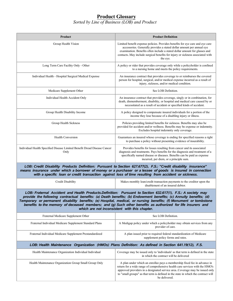#### **Product Glossary** *Sorted by Line of Business (LOB) and Product*

| Product                                                                                                                                                                                                                                                                                                                                                                                                                                                                                                               | <b>Product Definition</b>                                                                                                                                                                                                                                                                                                                      |  |  |  |  |
|-----------------------------------------------------------------------------------------------------------------------------------------------------------------------------------------------------------------------------------------------------------------------------------------------------------------------------------------------------------------------------------------------------------------------------------------------------------------------------------------------------------------------|------------------------------------------------------------------------------------------------------------------------------------------------------------------------------------------------------------------------------------------------------------------------------------------------------------------------------------------------|--|--|--|--|
| Group Health Vision                                                                                                                                                                                                                                                                                                                                                                                                                                                                                                   | Limited benefit expense policies. Provides benefits for eye care and eye care<br>accessories. Generally provides a stated dollar amount per annual eye<br>examination. Benefits often include a stated dollar amount for glasses and<br>contacts. May include surgical benefits for injury or sickness associated with<br>the eye.             |  |  |  |  |
| Long Term Care Facility Only - Other                                                                                                                                                                                                                                                                                                                                                                                                                                                                                  | A policy or rider that provides coverage only while a policyholder is confined<br>to a nursing home and meets the policy requirements.                                                                                                                                                                                                         |  |  |  |  |
| Individual Health - Hospital Surgical Medical Expense                                                                                                                                                                                                                                                                                                                                                                                                                                                                 | An insurance contract that provides coverage to or reimburses the covered<br>person for hospital, surgical, and/or medical expense incurred as a result of<br>injury, sickness, and/or medical condition.                                                                                                                                      |  |  |  |  |
| Medicare Supplement Other                                                                                                                                                                                                                                                                                                                                                                                                                                                                                             | See LOB Definition.                                                                                                                                                                                                                                                                                                                            |  |  |  |  |
| Individual Health Accident Only                                                                                                                                                                                                                                                                                                                                                                                                                                                                                       | An insurance contract that provides coverage, singly or in combination, for<br>death, dismemberment, disability, or hospital and medical care caused by or<br>necessitated as a result of accident or specified kinds of accident.                                                                                                             |  |  |  |  |
| Group Health Disability Income                                                                                                                                                                                                                                                                                                                                                                                                                                                                                        | A policy designed to compensate insured individuals for a portion of the<br>income they lose because of a disabling injury or illness.                                                                                                                                                                                                         |  |  |  |  |
| Group Health Sickness                                                                                                                                                                                                                                                                                                                                                                                                                                                                                                 | Policies providing limited benefits for sickness. Benefits may also be<br>provided for accident and/or wellness. Benefits may be expense or indemnity.<br>Excludes hospital indemnity only coverage.                                                                                                                                           |  |  |  |  |
| Health Conversion                                                                                                                                                                                                                                                                                                                                                                                                                                                                                                     | Guarantees an insured whose coverage is ending for specified reasons a right<br>to purchase a policy without presenting evidence of insurability.                                                                                                                                                                                              |  |  |  |  |
| Individual Health Specified Disease Limited Benefit Dread Disease Cancer<br>Only                                                                                                                                                                                                                                                                                                                                                                                                                                      | Provides benefits for losses resulting from cancer and its associated<br>diagnosis and treatments. Pays benefits for the diagnosis and treatment of a<br>specifically named disease or diseases. Benefits can be paid as expense<br>incurred, per diem, or a principle sum.                                                                    |  |  |  |  |
| LOB: Credit Disability Products Definition: Pursuant to Section 627.677(2), F.S.: "Credit disability insurance"<br>means insurance under which a borrower of money or a purchaser or a lessee of goods is insured in connection<br>with a specific loan or credit transaction against loss of time resulting from accident or sickness.                                                                                                                                                                               |                                                                                                                                                                                                                                                                                                                                                |  |  |  |  |
| Credit Disability                                                                                                                                                                                                                                                                                                                                                                                                                                                                                                     | Makes monthly loan/credit transaction payments to the creditor upon the<br>disablement of an insured debtor.                                                                                                                                                                                                                                   |  |  |  |  |
| LOB: Fraternal Accident and Health Products.Definition: Pursuant to Section 632.617(1), F.S.: A society may<br>provide the following contractual benefits: (a) Death benefits; (b) Endowment benefits; (c) Annuity benefits; (d)<br>Temporary or permanent disability benefits; (e) Hospital, medical, or nursing benefits; (f) Monument or tombstone<br>benefits to the memory of deceased members; and (g) Such other benefits as authorized for life insurers and<br>which are not inconsistent with this chapter. |                                                                                                                                                                                                                                                                                                                                                |  |  |  |  |
| Fraternal Medicare Supplement Other                                                                                                                                                                                                                                                                                                                                                                                                                                                                                   | See LOB Definition.                                                                                                                                                                                                                                                                                                                            |  |  |  |  |
| Fraternal Individual Medicare Supplement Standard Plans                                                                                                                                                                                                                                                                                                                                                                                                                                                               | A Medigap policy under which a policyholder may obtain services from any<br>provider of care.                                                                                                                                                                                                                                                  |  |  |  |  |
| Fraternal Individual Medicare Supplement Prestandardized                                                                                                                                                                                                                                                                                                                                                                                                                                                              | A plan issued prior to required federal standardization of Medicare<br>supplement policy forms and rates.                                                                                                                                                                                                                                      |  |  |  |  |
| LOB: Health Maintenance Organization (HMOs) Plans Definition: As defined in Section 641.19(12), F.S.                                                                                                                                                                                                                                                                                                                                                                                                                  |                                                                                                                                                                                                                                                                                                                                                |  |  |  |  |
| Health Maintenance Organization Individual Individual                                                                                                                                                                                                                                                                                                                                                                                                                                                                 | Coverage may be issued only to 'individuals' as that term is defined in the state<br>in which the contract will be delivered                                                                                                                                                                                                                   |  |  |  |  |
| Health Maintenance Organization Group Small Group Only                                                                                                                                                                                                                                                                                                                                                                                                                                                                | A plan under which an enrollee pays a membership fixed fee in advance in<br>return for a wide range of comprehensive health care services with the HMO's<br>approved providers in a designated service area. Coverage may be issued only<br>to "small groups" as that term is defined in the state in which the contract will<br>be delivered. |  |  |  |  |